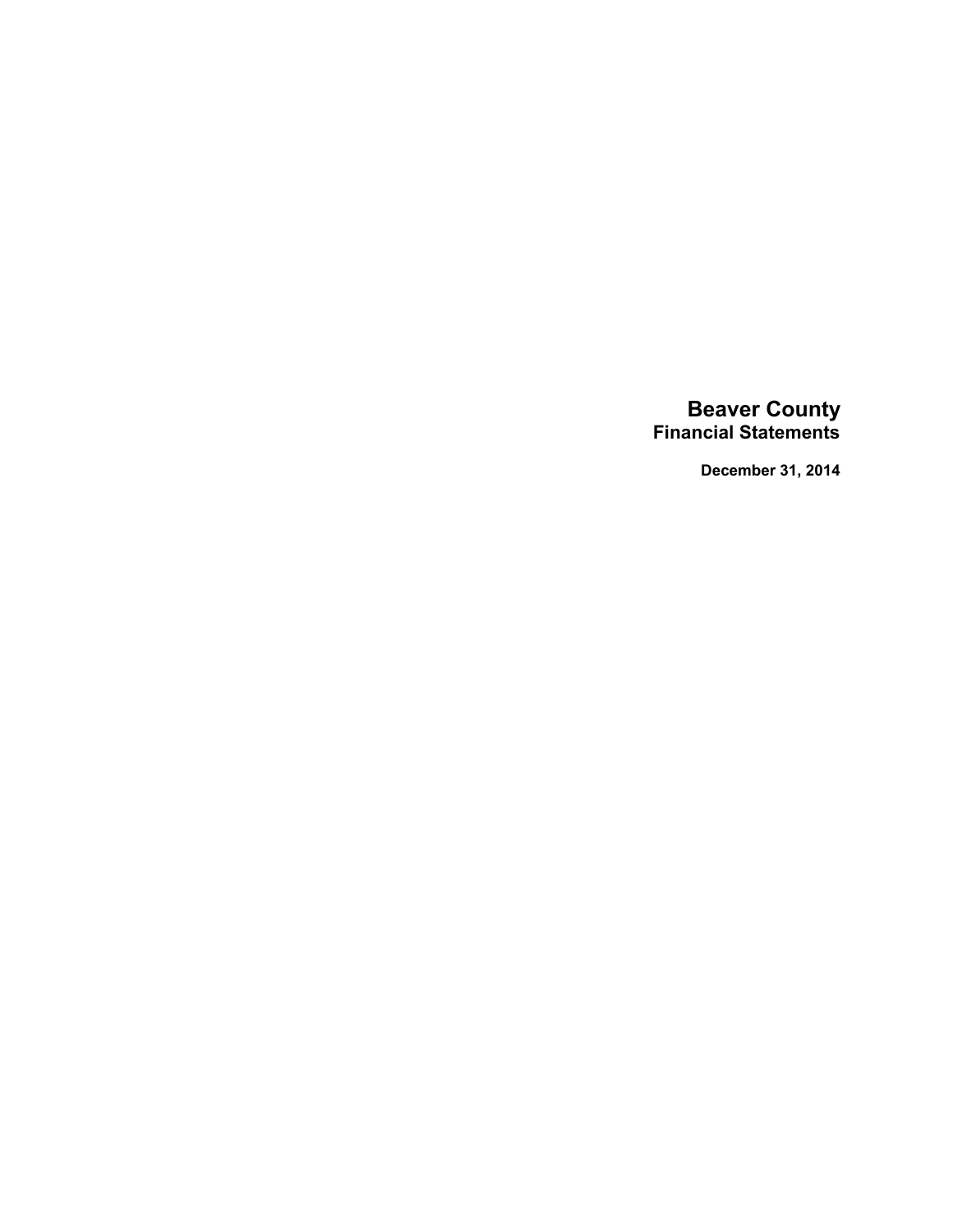## **Beaver County Financial Statements**

**December 31, 2014**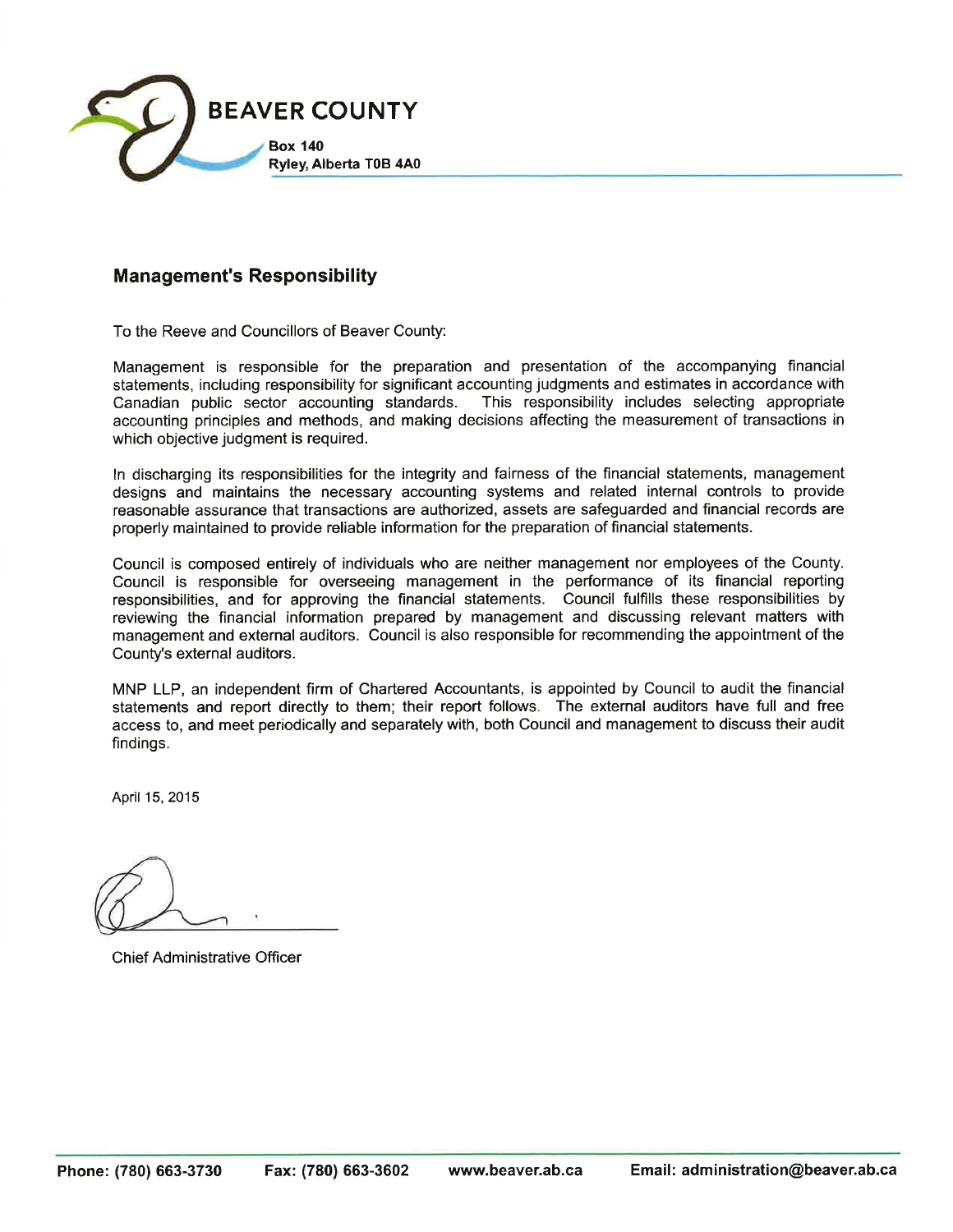

# **Management's Responsibility**

To the Reeve and Councillors of Beaver County:

Management is responsible for the preparation and presentation of the accompanying financial statements, including responsibility for significant accounting judgments and estimates in accordance with This responsibility includes selecting appropriate Canadian public sector accounting standards. accounting principles and methods, and making decisions affecting the measurement of transactions in which objective judgment is required.

In discharging its responsibilities for the integrity and fairness of the financial statements, management designs and maintains the necessary accounting systems and related internal controls to provide reasonable assurance that transactions are authorized, assets are safeguarded and financial records are properly maintained to provide reliable information for the preparation of financial statements.

Council is composed entirely of individuals who are neither management nor employees of the County. Council is responsible for overseeing management in the performance of its financial reporting responsibilities, and for approving the financial statements. Council fulfills these responsibilities by reviewing the financial information prepared by management and discussing relevant matters with management and external auditors. Council is also responsible for recommending the appointment of the County's external auditors.

MNP LLP, an independent firm of Chartered Accountants, is appointed by Council to audit the financial statements and report directly to them; their report follows. The external auditors have full and free access to, and meet periodically and separately with, both Council and management to discuss their audit findings.

April 15, 2015

**Chief Administrative Officer**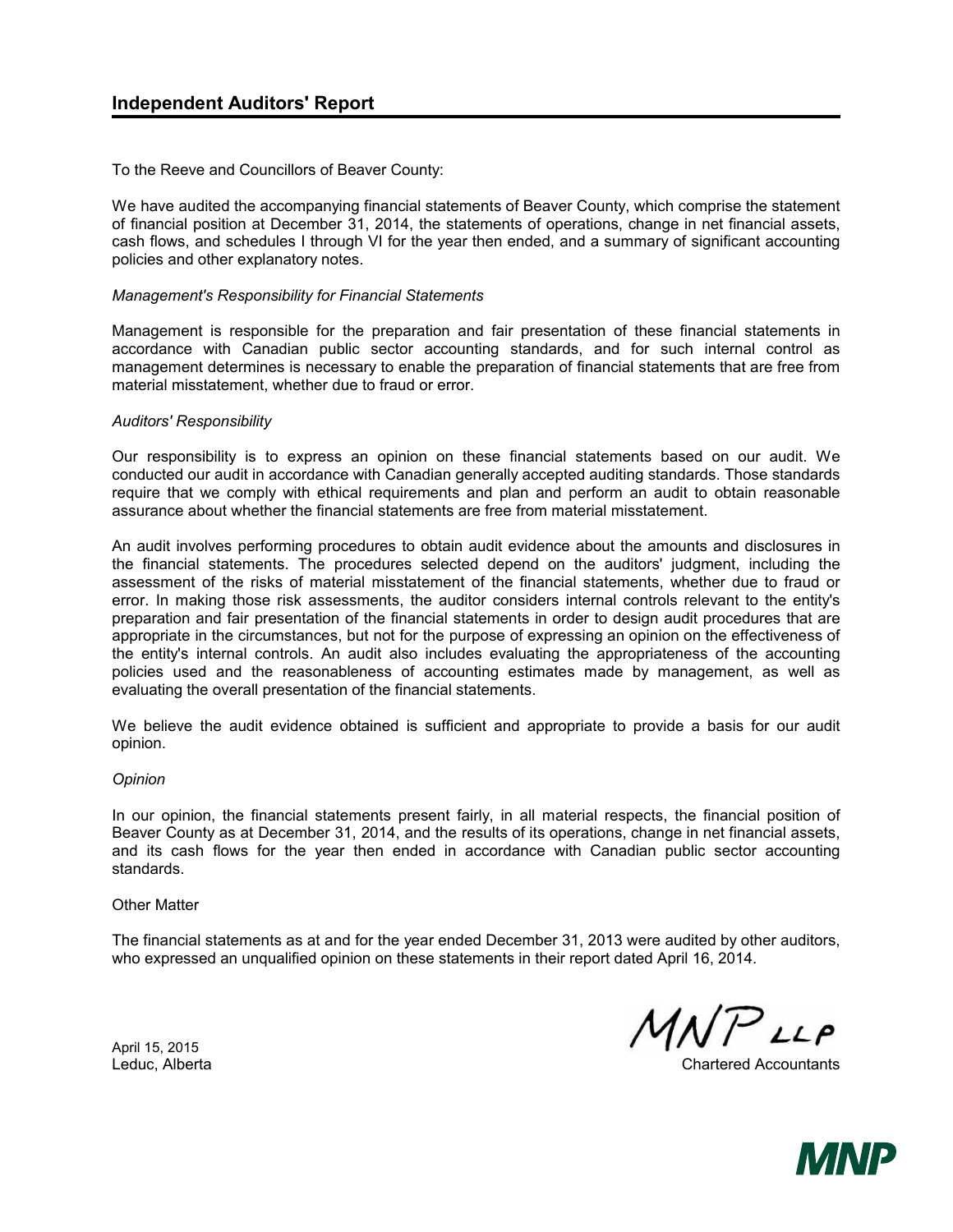To the Reeve and Councillors of Beaver County:

We have audited the accompanying financial statements of Beaver County, which comprise the statement of financial position at December 31, 2014, the statements of operations, change in net financial assets, cash flows, and schedules I through VI for the year then ended, and a summary of significant accounting policies and other explanatory notes.

#### *Management's Responsibility for Financial Statements*

Management is responsible for the preparation and fair presentation of these financial statements in accordance with Canadian public sector accounting standards, and for such internal control as management determines is necessary to enable the preparation of financial statements that are free from material misstatement, whether due to fraud or error.

#### *Auditors' Responsibility*

Our responsibility is to express an opinion on these financial statements based on our audit. We conducted our audit in accordance with Canadian generally accepted auditing standards. Those standards require that we comply with ethical requirements and plan and perform an audit to obtain reasonable assurance about whether the financial statements are free from material misstatement.

An audit involves performing procedures to obtain audit evidence about the amounts and disclosures in the financial statements. The procedures selected depend on the auditors' judgment, including the assessment of the risks of material misstatement of the financial statements, whether due to fraud or error. In making those risk assessments, the auditor considers internal controls relevant to the entity's preparation and fair presentation of the financial statements in order to design audit procedures that are appropriate in the circumstances, but not for the purpose of expressing an opinion on the effectiveness of the entity's internal controls. An audit also includes evaluating the appropriateness of the accounting policies used and the reasonableness of accounting estimates made by management, as well as evaluating the overall presentation of the financial statements.

We believe the audit evidence obtained is sufficient and appropriate to provide a basis for our audit opinion.

#### *Opinion*

In our opinion, the financial statements present fairly, in all material respects, the financial position of Beaver County as at December 31, 2014, and the results of its operations, change in net financial assets, and its cash flows for the year then ended in accordance with Canadian public sector accounting standards.

#### Other Matter

The financial statements as at and for the year ended December 31, 2013 were audited by other auditors, who expressed an unqualified opinion on these statements in their report dated April 16, 2014.

 $11P$ 

April 15, 2015

Leduc, Alberta Chartered Accountants

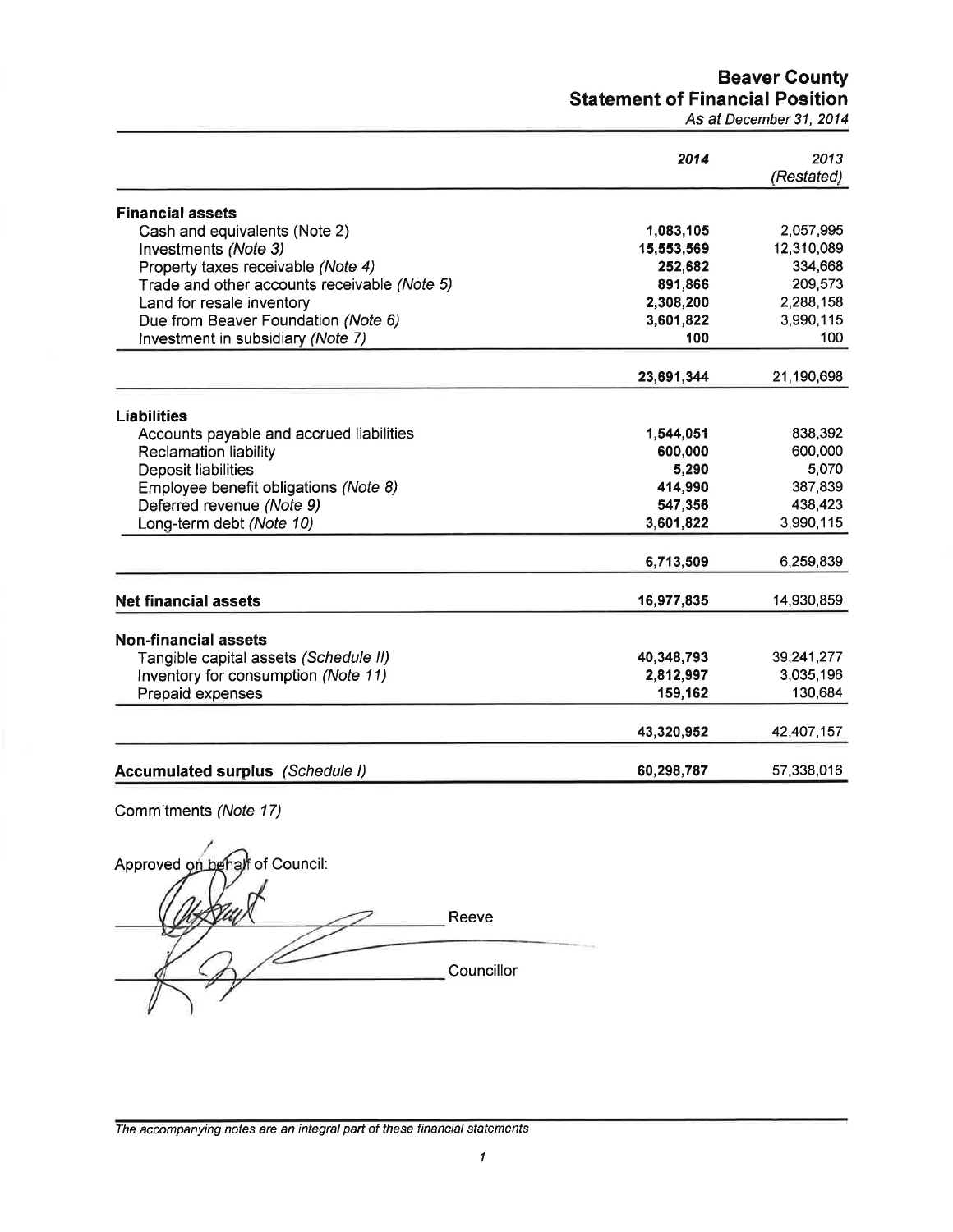# **Beaver County Statement of Financial Position**

As at December 31, 2014

|                                              | 2014       | 2013<br>(Restated) |
|----------------------------------------------|------------|--------------------|
|                                              |            |                    |
| <b>Financial assets</b>                      |            |                    |
| Cash and equivalents (Note 2)                | 1,083,105  | 2,057,995          |
| Investments (Note 3)                         | 15,553,569 | 12,310,089         |
| Property taxes receivable (Note 4)           | 252,682    | 334,668            |
| Trade and other accounts receivable (Note 5) | 891,866    | 209,573            |
| Land for resale inventory                    | 2,308,200  | 2,288,158          |
| Due from Beaver Foundation (Note 6)          | 3,601,822  | 3,990,115          |
| Investment in subsidiary (Note 7)            | 100        | 100                |
|                                              | 23,691,344 | 21,190,698         |
| <b>Liabilities</b>                           |            |                    |
| Accounts payable and accrued liabilities     | 1,544,051  | 838,392            |
| <b>Reclamation liability</b>                 | 600,000    | 600,000            |
| <b>Deposit liabilities</b>                   | 5,290      | 5,070              |
| Employee benefit obligations (Note 8)        | 414,990    | 387,839            |
| Deferred revenue (Note 9)                    | 547,356    | 438,423            |
| Long-term debt (Note 10)                     | 3,601,822  | 3,990,115          |
|                                              | 6,713,509  | 6,259,839          |
| <b>Net financial assets</b>                  | 16,977,835 | 14,930,859         |
| <b>Non-financial assets</b>                  |            |                    |
| Tangible capital assets (Schedule II)        | 40,348,793 | 39,241,277         |
| Inventory for consumption (Note 11)          | 2,812,997  | 3,035,196          |
| Prepaid expenses                             | 159,162    | 130,684            |
|                                              |            |                    |
|                                              | 43,320,952 | 42,407,157         |
| Accumulated surplus (Schedule I)             | 60,298,787 | 57,338,016         |

Commitments (Note 17)

Approved on behalf of Council: Reeve Councillor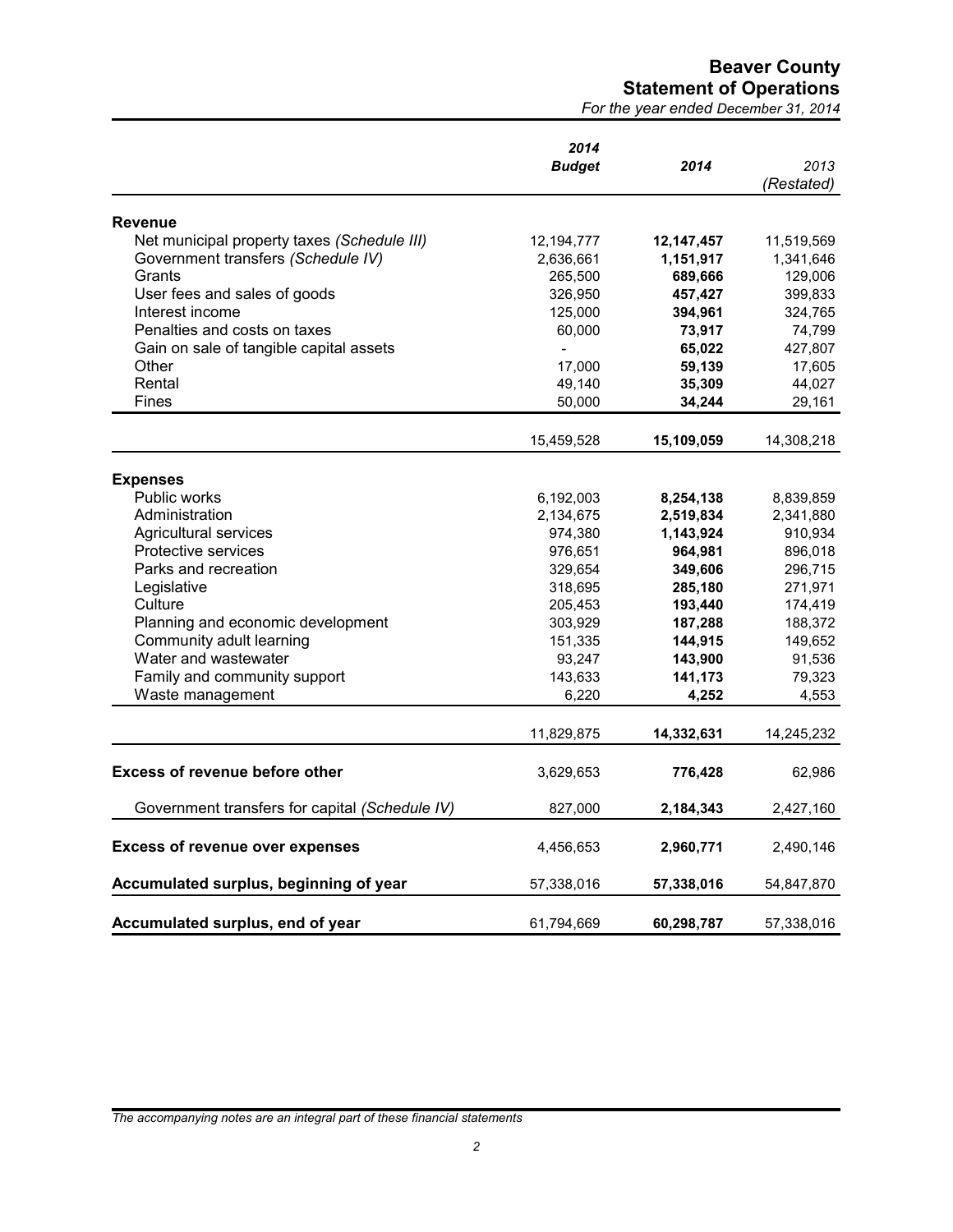**Beaver County Statement of Operations**

*For the year ended December 31, 2014*

|                                                | 2014          |            |                    |
|------------------------------------------------|---------------|------------|--------------------|
|                                                | <b>Budget</b> | 2014       | 2013<br>(Restated) |
|                                                |               |            |                    |
| <b>Revenue</b>                                 |               |            |                    |
| Net municipal property taxes (Schedule III)    | 12, 194, 777  | 12,147,457 | 11,519,569         |
| Government transfers (Schedule IV)             | 2,636,661     | 1,151,917  | 1,341,646          |
| Grants                                         | 265,500       | 689,666    | 129,006            |
| User fees and sales of goods                   | 326,950       | 457,427    | 399,833            |
| Interest income                                | 125,000       | 394,961    | 324,765            |
| Penalties and costs on taxes                   | 60,000        | 73,917     | 74,799             |
| Gain on sale of tangible capital assets        |               | 65,022     | 427,807            |
| Other                                          | 17,000        | 59,139     | 17,605             |
| Rental                                         | 49,140        | 35,309     | 44,027             |
| Fines                                          | 50,000        | 34,244     | 29,161             |
|                                                | 15,459,528    | 15,109,059 | 14,308,218         |
|                                                |               |            |                    |
| <b>Expenses</b>                                |               |            |                    |
| Public works                                   | 6,192,003     | 8,254,138  | 8,839,859          |
| Administration                                 | 2,134,675     | 2,519,834  | 2,341,880          |
| Agricultural services                          | 974,380       | 1,143,924  | 910,934            |
| Protective services                            | 976,651       | 964,981    | 896,018            |
| Parks and recreation                           | 329,654       | 349,606    | 296,715            |
| Legislative                                    | 318,695       | 285,180    | 271,971            |
| Culture                                        | 205,453       | 193,440    | 174,419            |
| Planning and economic development              | 303,929       | 187,288    | 188,372            |
| Community adult learning                       | 151,335       | 144,915    | 149,652            |
| Water and wastewater                           | 93,247        | 143,900    | 91,536             |
| Family and community support                   | 143,633       | 141,173    | 79,323             |
| Waste management                               | 6,220         | 4,252      | 4,553              |
|                                                | 11,829,875    | 14,332,631 | 14,245,232         |
| <b>Excess of revenue before other</b>          | 3,629,653     | 776,428    | 62,986             |
|                                                |               |            |                    |
| Government transfers for capital (Schedule IV) | 827,000       | 2,184,343  | 2,427,160          |
| <b>Excess of revenue over expenses</b>         | 4,456,653     | 2,960,771  | 2,490,146          |
| Accumulated surplus, beginning of year         | 57,338,016    | 57,338,016 | 54,847,870         |
| Accumulated surplus, end of year               | 61,794,669    | 60,298,787 | 57,338,016         |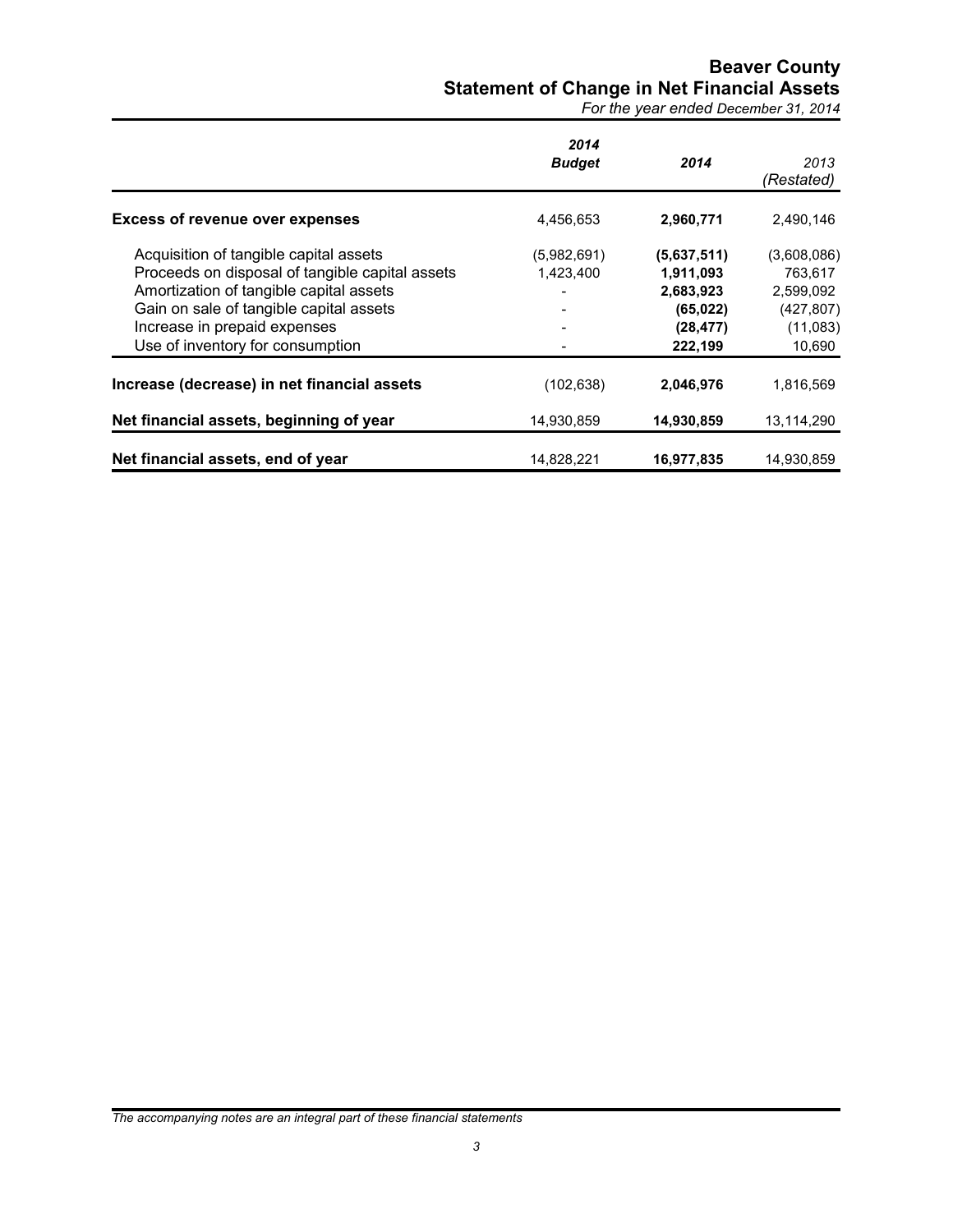# **Beaver County Statement of Change in Net Financial Assets**

*For the year ended December 31, 2014*

|                                                 | 2014<br><b>Budget</b> | 2014        | 2013<br>(Restated) |
|-------------------------------------------------|-----------------------|-------------|--------------------|
| <b>Excess of revenue over expenses</b>          | 4,456,653             | 2,960,771   | 2,490,146          |
| Acquisition of tangible capital assets          | (5,982,691)           | (5,637,511) | (3,608,086)        |
| Proceeds on disposal of tangible capital assets | 1,423,400             | 1,911,093   | 763,617            |
| Amortization of tangible capital assets         |                       | 2,683,923   | 2,599,092          |
| Gain on sale of tangible capital assets         |                       | (65, 022)   | (427, 807)         |
| Increase in prepaid expenses                    |                       | (28, 477)   | (11,083)           |
| Use of inventory for consumption                |                       | 222,199     | 10,690             |
| Increase (decrease) in net financial assets     | (102, 638)            | 2,046,976   | 1,816,569          |
| Net financial assets, beginning of year         | 14,930,859            | 14,930,859  | 13,114,290         |
| Net financial assets, end of year               | 14,828,221            | 16,977,835  | 14,930,859         |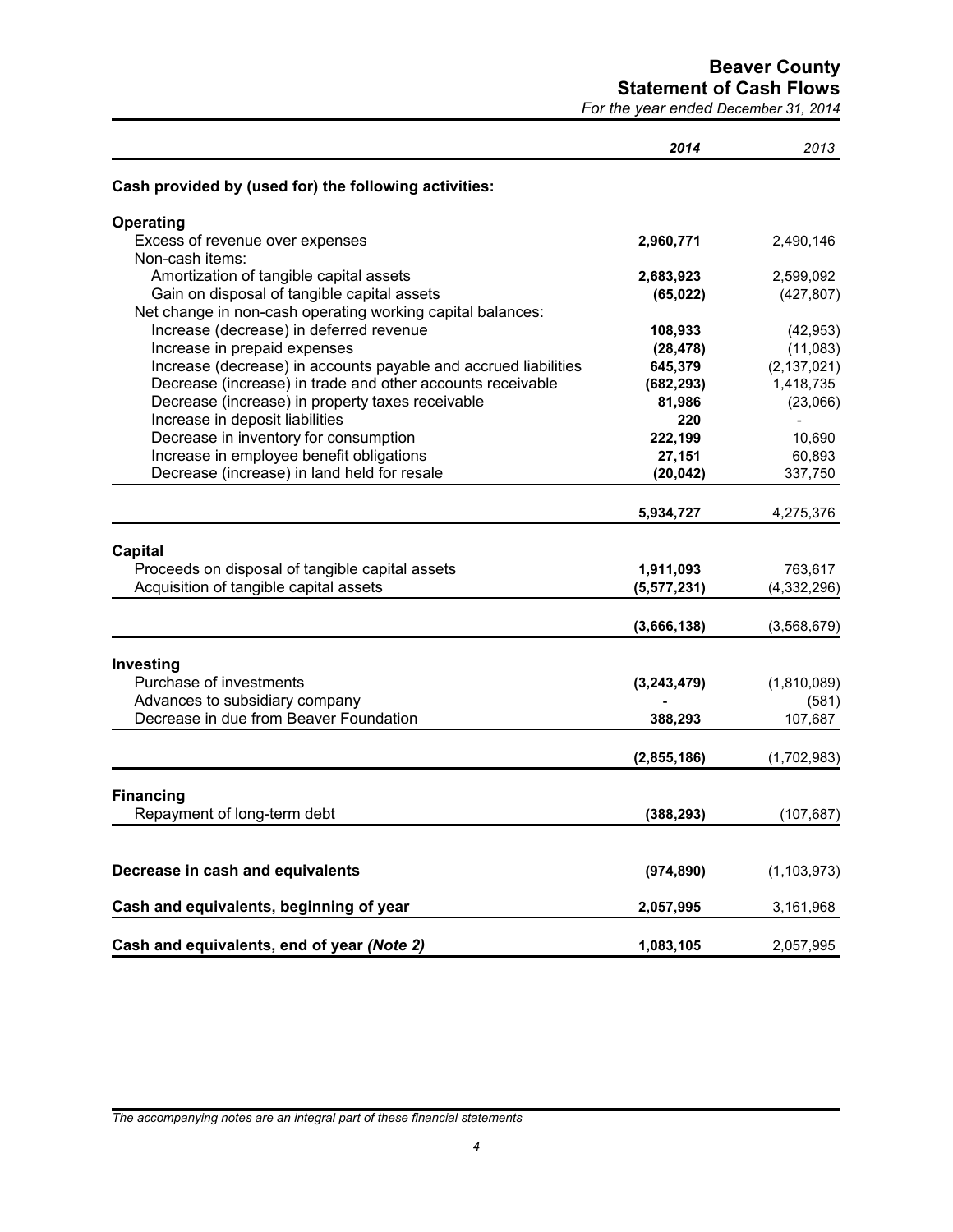**Beaver County**

**Statement of Cash Flows** *For the year ended December 31, 2014*

|                                                                 | 2014        | 2013           |
|-----------------------------------------------------------------|-------------|----------------|
| Cash provided by (used for) the following activities:           |             |                |
| <b>Operating</b>                                                |             |                |
| Excess of revenue over expenses                                 | 2,960,771   | 2,490,146      |
| Non-cash items:                                                 |             |                |
| Amortization of tangible capital assets                         | 2,683,923   | 2,599,092      |
| Gain on disposal of tangible capital assets                     | (65, 022)   | (427, 807)     |
| Net change in non-cash operating working capital balances:      |             |                |
| Increase (decrease) in deferred revenue                         | 108,933     | (42, 953)      |
| Increase in prepaid expenses                                    | (28, 478)   | (11,083)       |
| Increase (decrease) in accounts payable and accrued liabilities | 645,379     | (2, 137, 021)  |
| Decrease (increase) in trade and other accounts receivable      | (682, 293)  | 1,418,735      |
| Decrease (increase) in property taxes receivable                | 81,986      | (23,066)       |
| Increase in deposit liabilities                                 | 220         | $\blacksquare$ |
| Decrease in inventory for consumption                           | 222,199     | 10,690         |
| Increase in employee benefit obligations                        | 27,151      | 60,893         |
| Decrease (increase) in land held for resale                     | (20, 042)   | 337,750        |
|                                                                 | 5,934,727   | 4,275,376      |
|                                                                 |             |                |
| <b>Capital</b>                                                  |             |                |
| Proceeds on disposal of tangible capital assets                 | 1,911,093   | 763,617        |
| Acquisition of tangible capital assets                          | (5,577,231) | (4,332,296)    |
|                                                                 | (3,666,138) | (3,568,679)    |
| Investing                                                       |             |                |
| Purchase of investments                                         | (3,243,479) | (1,810,089)    |
| Advances to subsidiary company                                  |             | (581)          |
| Decrease in due from Beaver Foundation                          | 388,293     | 107,687        |
|                                                                 | (2,855,186) | (1,702,983)    |
|                                                                 |             |                |
| <b>Financing</b>                                                |             |                |
| Repayment of long-term debt                                     | (388, 293)  | (107, 687)     |
| Decrease in cash and equivalents                                |             |                |
|                                                                 | (974, 890)  | (1, 103, 973)  |
| Cash and equivalents, beginning of year                         | 2,057,995   | 3,161,968      |
| Cash and equivalents, end of year (Note 2)                      | 1,083,105   | 2,057,995      |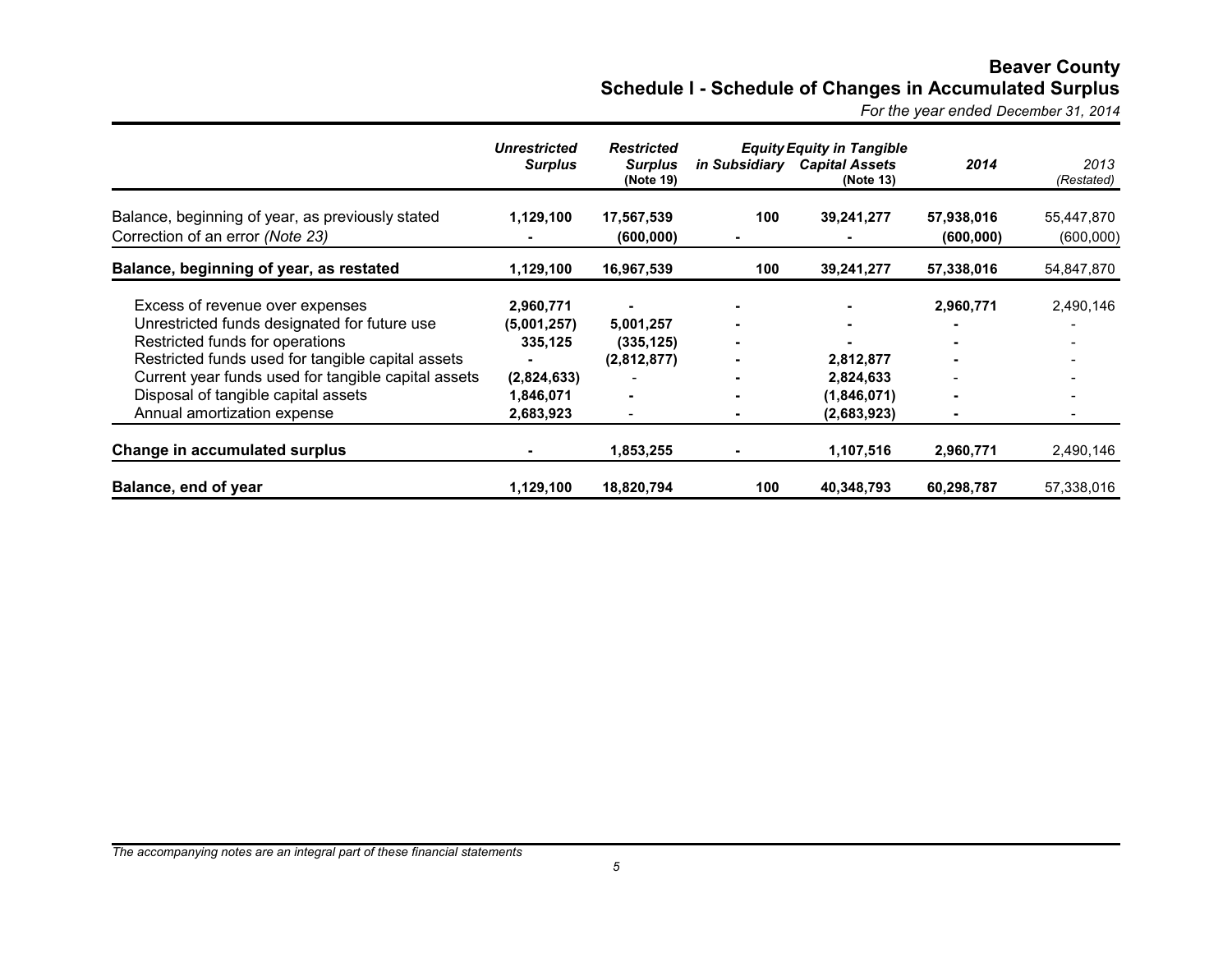# **Beaver County Schedule I - Schedule of Changes in Accumulated Surplus**

*For the year ended December 31, 2014*

|                                                                                      | <b>Unrestricted</b> | <b>Restricted</b>           |     | <b>Equity Equity in Tangible</b>          |                          |                         |
|--------------------------------------------------------------------------------------|---------------------|-----------------------------|-----|-------------------------------------------|--------------------------|-------------------------|
|                                                                                      | <b>Surplus</b>      | <b>Surplus</b><br>(Note 19) |     | in Subsidiary Capital Assets<br>(Note 13) | 2014                     | 2013<br>(Restated)      |
| Balance, beginning of year, as previously stated<br>Correction of an error (Note 23) | 1,129,100           | 17,567,539<br>(600, 000)    | 100 | 39,241,277                                | 57,938,016<br>(600, 000) | 55,447,870<br>(600,000) |
| Balance, beginning of year, as restated                                              | 1,129,100           | 16,967,539                  | 100 | 39,241,277                                | 57,338,016               | 54,847,870              |
| Excess of revenue over expenses                                                      | 2,960,771           |                             |     |                                           | 2,960,771                | 2,490,146               |
| Unrestricted funds designated for future use                                         | (5,001,257)         | 5,001,257                   |     |                                           |                          |                         |
| Restricted funds for operations                                                      | 335,125             | (335, 125)                  |     |                                           |                          |                         |
| Restricted funds used for tangible capital assets                                    | ۰.                  | (2,812,877)                 | ٠   | 2,812,877                                 | $\blacksquare$           |                         |
| Current year funds used for tangible capital assets                                  | (2,824,633)         |                             |     | 2,824,633                                 |                          |                         |
| Disposal of tangible capital assets                                                  | 1,846,071           | ٠                           |     | (1,846,071)                               | $\blacksquare$           |                         |
| Annual amortization expense                                                          | 2,683,923           | $\overline{\phantom{a}}$    |     | (2,683,923)                               |                          |                         |
| Change in accumulated surplus                                                        |                     | 1,853,255                   |     | 1,107,516                                 | 2,960,771                | 2,490,146               |
| Balance, end of year                                                                 | 1,129,100           | 18,820,794                  | 100 | 40,348,793                                | 60,298,787               | 57,338,016              |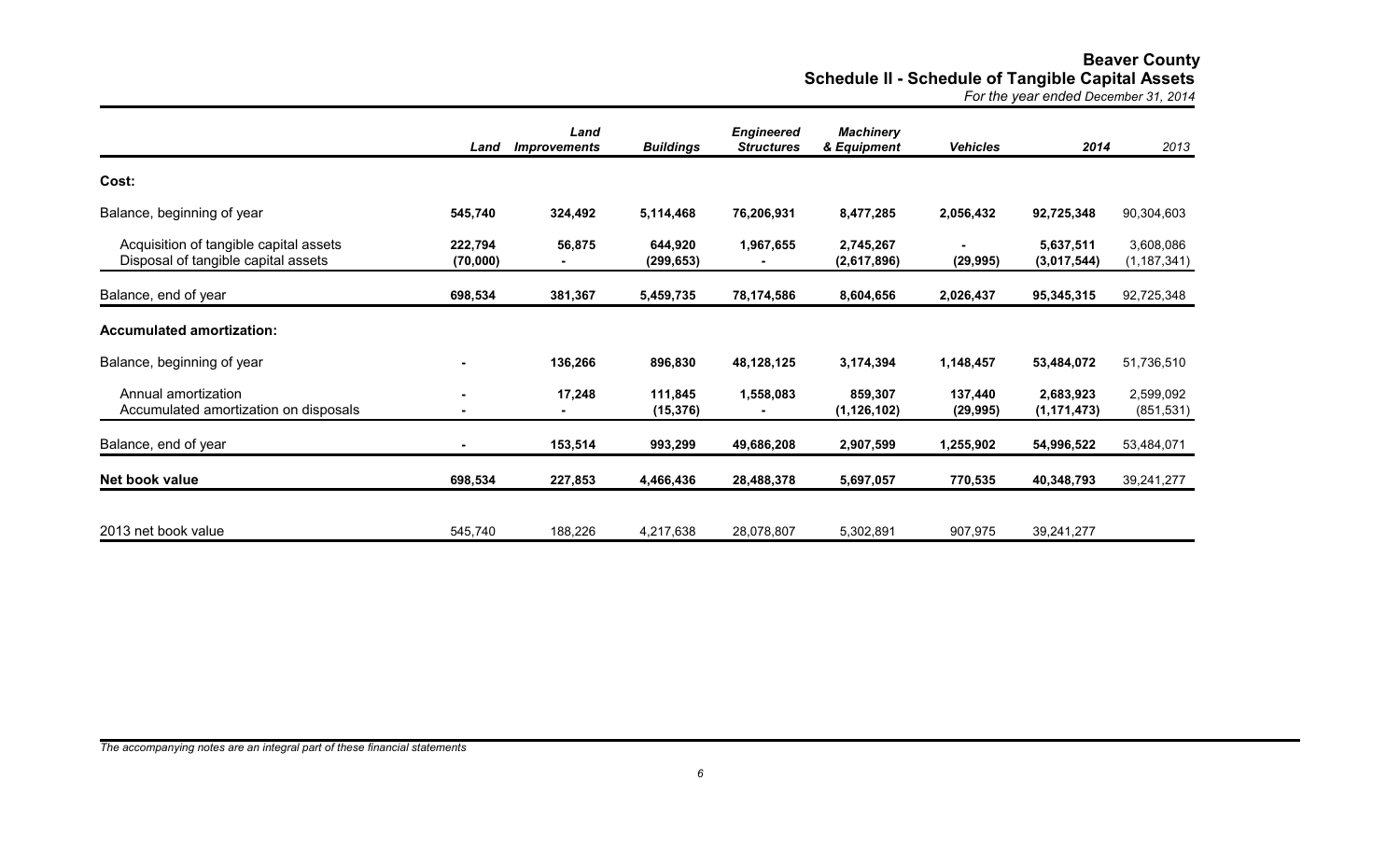## **Beaver County Schedule II - Schedule of Tangible Capital Assets**

*For the year ended December 31, 2014*

|                                                                               | Land                | Land<br><b>Improvements</b> | <b>Buildings</b>      | <b>Engineered</b><br><b>Structures</b> | <b>Machinery</b><br>& Equipment | <b>Vehicles</b>             | 2014                       | 2013                       |
|-------------------------------------------------------------------------------|---------------------|-----------------------------|-----------------------|----------------------------------------|---------------------------------|-----------------------------|----------------------------|----------------------------|
| Cost:                                                                         |                     |                             |                       |                                        |                                 |                             |                            |                            |
| Balance, beginning of year                                                    | 545,740             | 324,492                     | 5,114,468             | 76,206,931                             | 8,477,285                       | 2,056,432                   | 92,725,348                 | 90,304,603                 |
| Acquisition of tangible capital assets<br>Disposal of tangible capital assets | 222,794<br>(70,000) | 56,875                      | 644,920<br>(299, 653) | 1,967,655                              | 2,745,267<br>(2,617,896)        | $\blacksquare$<br>(29, 995) | 5,637,511<br>(3,017,544)   | 3,608,086<br>(1, 187, 341) |
| Balance, end of year                                                          | 698,534             | 381,367                     | 5,459,735             | 78,174,586                             | 8,604,656                       | 2,026,437                   | 95,345,315                 | 92,725,348                 |
| <b>Accumulated amortization:</b>                                              |                     |                             |                       |                                        |                                 |                             |                            |                            |
| Balance, beginning of year                                                    |                     | 136,266                     | 896,830               | 48,128,125                             | 3,174,394                       | 1,148,457                   | 53,484,072                 | 51,736,510                 |
| Annual amortization<br>Accumulated amortization on disposals                  |                     | 17,248                      | 111,845<br>(15, 376)  | 1,558,083                              | 859,307<br>(1, 126, 102)        | 137,440<br>(29, 995)        | 2,683,923<br>(1, 171, 473) | 2,599,092<br>(851, 531)    |
| Balance, end of year                                                          | $\blacksquare$      | 153,514                     | 993,299               | 49,686,208                             | 2,907,599                       | 1,255,902                   | 54,996,522                 | 53,484,071                 |
| Net book value                                                                | 698,534             | 227,853                     | 4,466,436             | 28,488,378                             | 5,697,057                       | 770,535                     | 40,348,793                 | 39,241,277                 |
| 2013 net book value                                                           | 545,740             | 188,226                     | 4,217,638             | 28,078,807                             | 5,302,891                       | 907,975                     | 39,241,277                 |                            |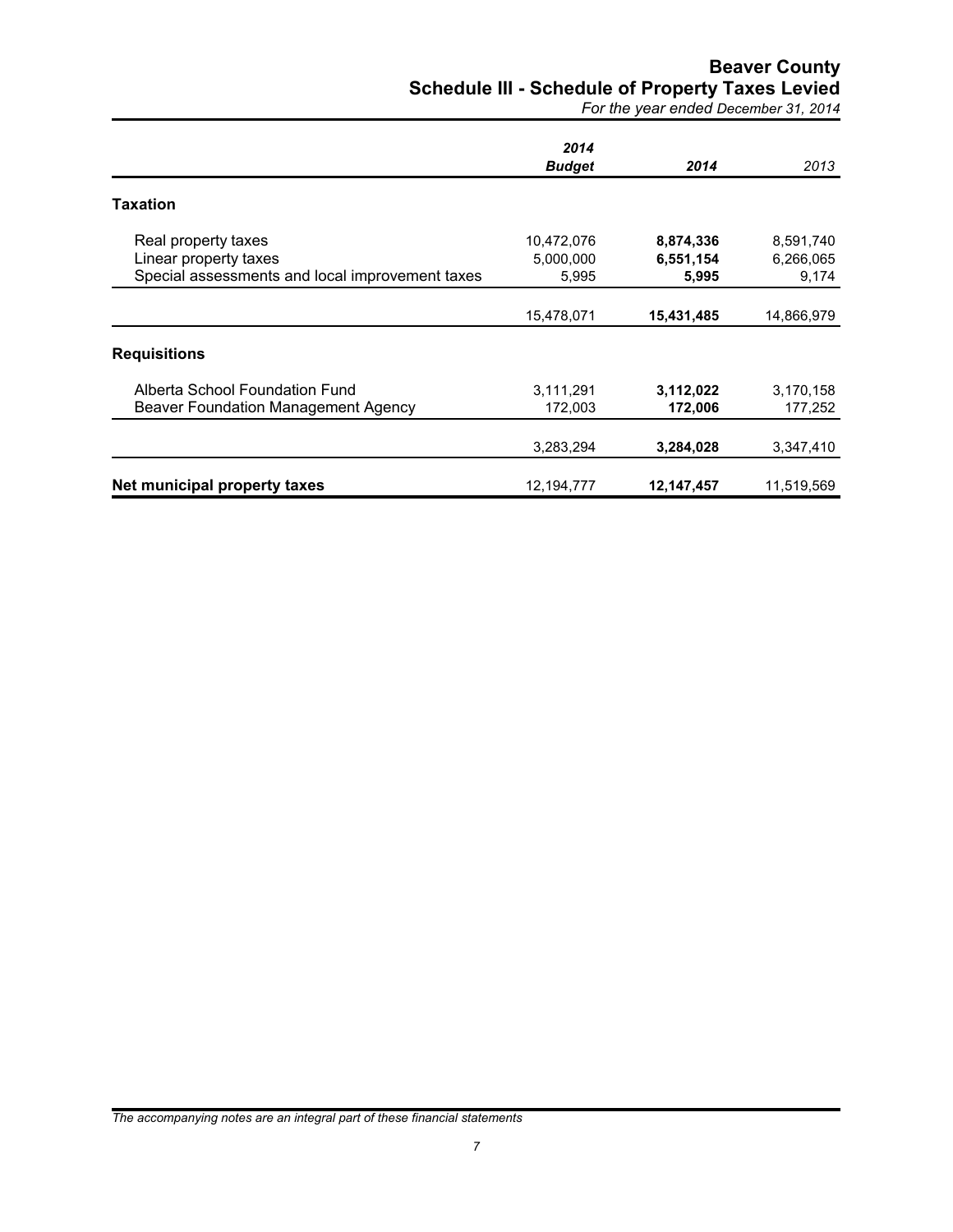## **Beaver County Schedule III - Schedule of Property Taxes Levied**

*For the year ended December 31, 2014*

|                                                 | 2014<br><b>Budget</b> | 2014       | 2013       |
|-------------------------------------------------|-----------------------|------------|------------|
|                                                 |                       |            |            |
| Taxation                                        |                       |            |            |
| Real property taxes                             | 10,472,076            | 8,874,336  | 8,591,740  |
| Linear property taxes                           | 5,000,000             | 6,551,154  | 6,266,065  |
| Special assessments and local improvement taxes | 5,995                 | 5,995      | 9,174      |
|                                                 | 15,478,071            | 15,431,485 | 14,866,979 |
| <b>Requisitions</b>                             |                       |            |            |
| Alberta School Foundation Fund                  | 3,111,291             | 3,112,022  | 3,170,158  |
| Beaver Foundation Management Agency             | 172,003               | 172,006    | 177,252    |
|                                                 | 3,283,294             | 3,284,028  | 3,347,410  |
| Net municipal property taxes                    | 12, 194, 777          | 12,147,457 | 11,519,569 |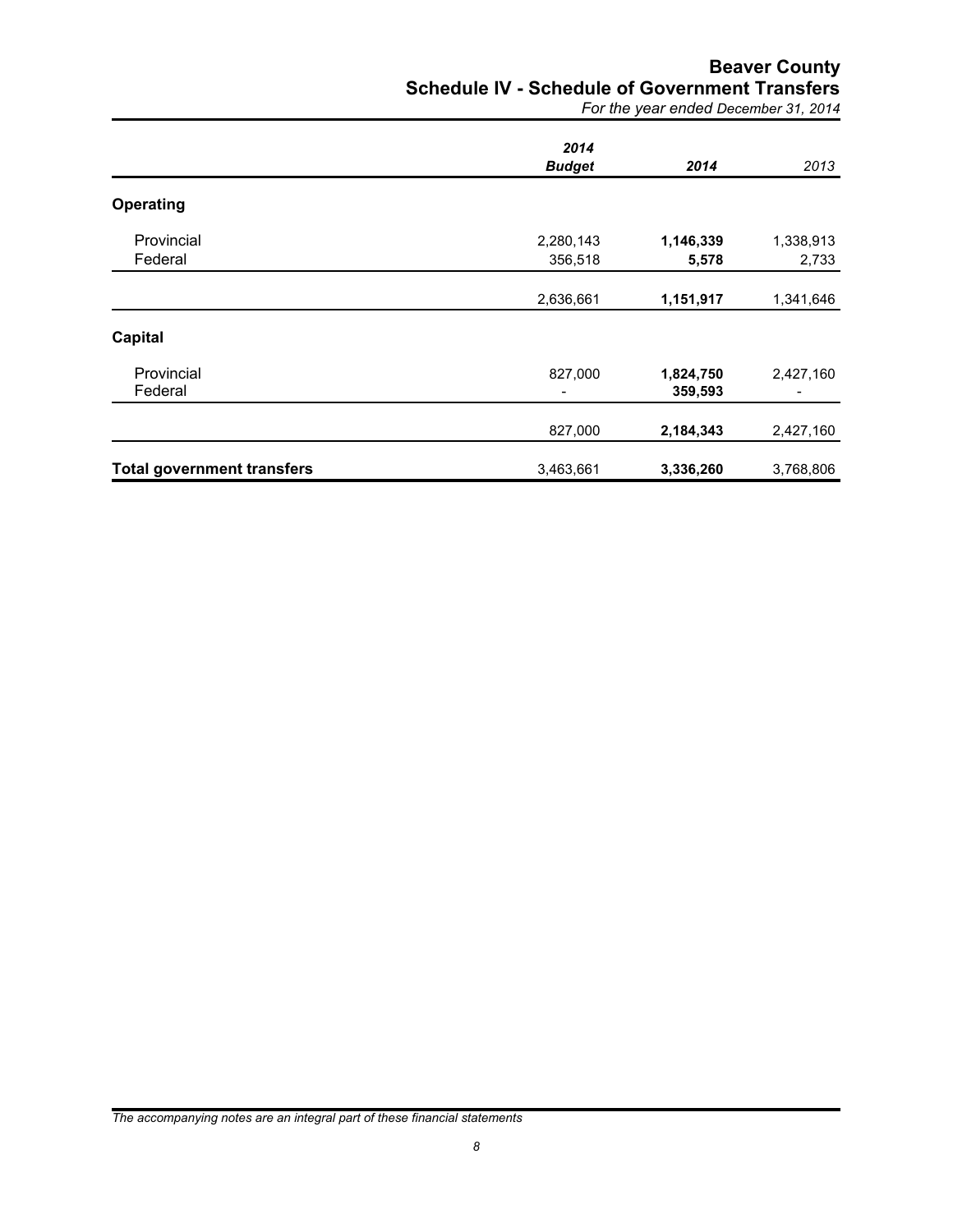# **Beaver County Schedule IV - Schedule of Government Transfers**

*For the year ended December 31, 2014*

|                                   | 2014          |                      |           |
|-----------------------------------|---------------|----------------------|-----------|
|                                   | <b>Budget</b> | 2014                 | 2013      |
| <b>Operating</b>                  |               |                      |           |
| Provincial                        | 2,280,143     | 1,146,339            | 1,338,913 |
| Federal                           | 356,518       | 5,578                | 2,733     |
|                                   | 2,636,661     | 1,151,917            | 1,341,646 |
| <b>Capital</b>                    |               |                      |           |
| Provincial<br>Federal             | 827,000       | 1,824,750<br>359,593 | 2,427,160 |
|                                   | 827,000       | 2,184,343            | 2,427,160 |
| <b>Total government transfers</b> | 3,463,661     | 3,336,260            | 3,768,806 |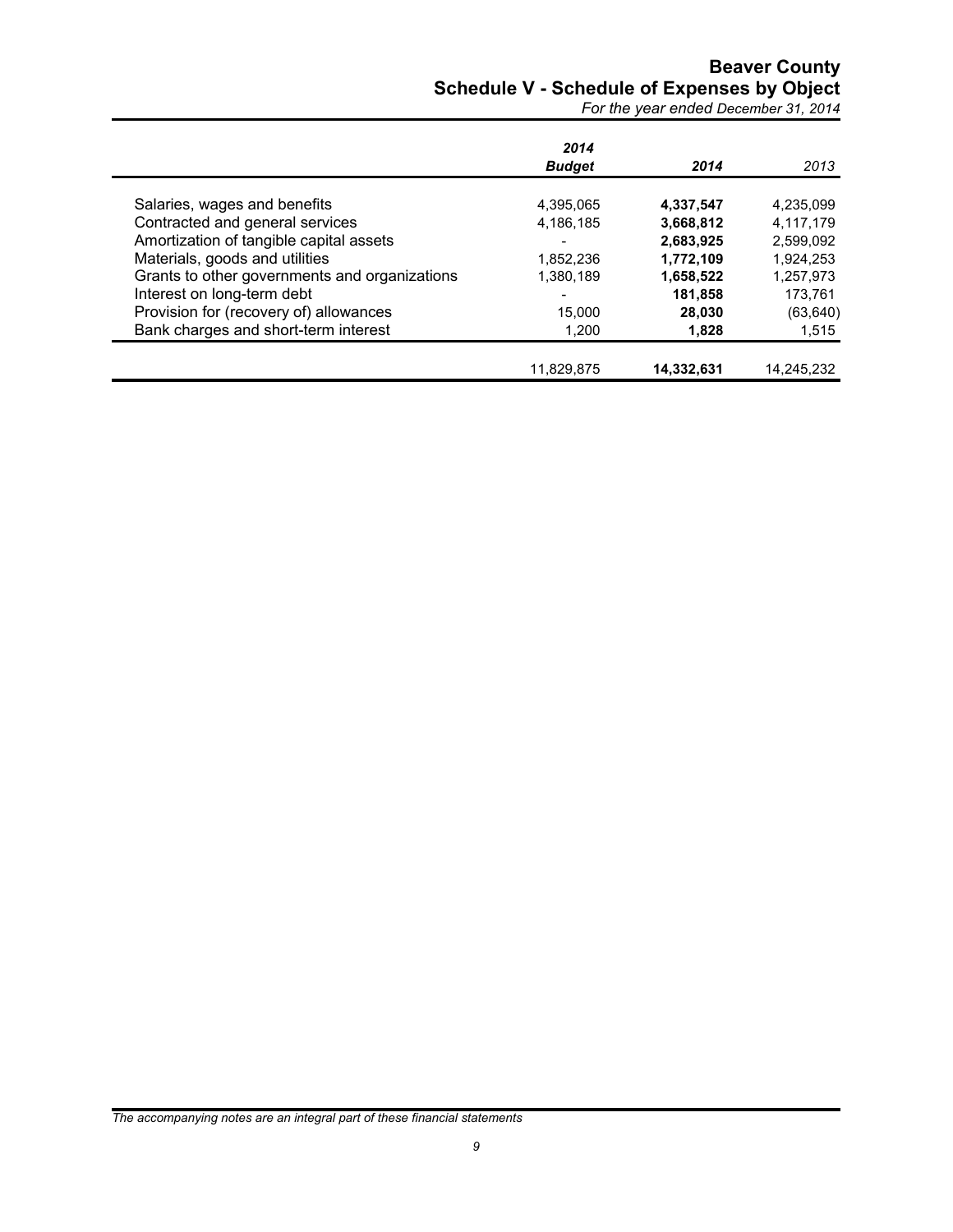## **Beaver County Schedule V - Schedule of Expenses by Object**

*For the year ended December 31, 2014*

|                                               | 2014          |            |            |
|-----------------------------------------------|---------------|------------|------------|
|                                               | <b>Budget</b> | 2014       | 2013       |
|                                               |               |            |            |
| Salaries, wages and benefits                  | 4,395,065     | 4,337,547  | 4,235,099  |
| Contracted and general services               | 4,186,185     | 3,668,812  | 4,117,179  |
| Amortization of tangible capital assets       |               | 2,683,925  | 2,599,092  |
| Materials, goods and utilities                | 1,852,236     | 1,772,109  | 1,924,253  |
| Grants to other governments and organizations | 1,380,189     | 1,658,522  | 1,257,973  |
| Interest on long-term debt                    |               | 181,858    | 173,761    |
| Provision for (recovery of) allowances        | 15,000        | 28,030     | (63, 640)  |
| Bank charges and short-term interest          | 1,200         | 1,828      | 1,515      |
|                                               | 11,829,875    | 14.332.631 | 14.245.232 |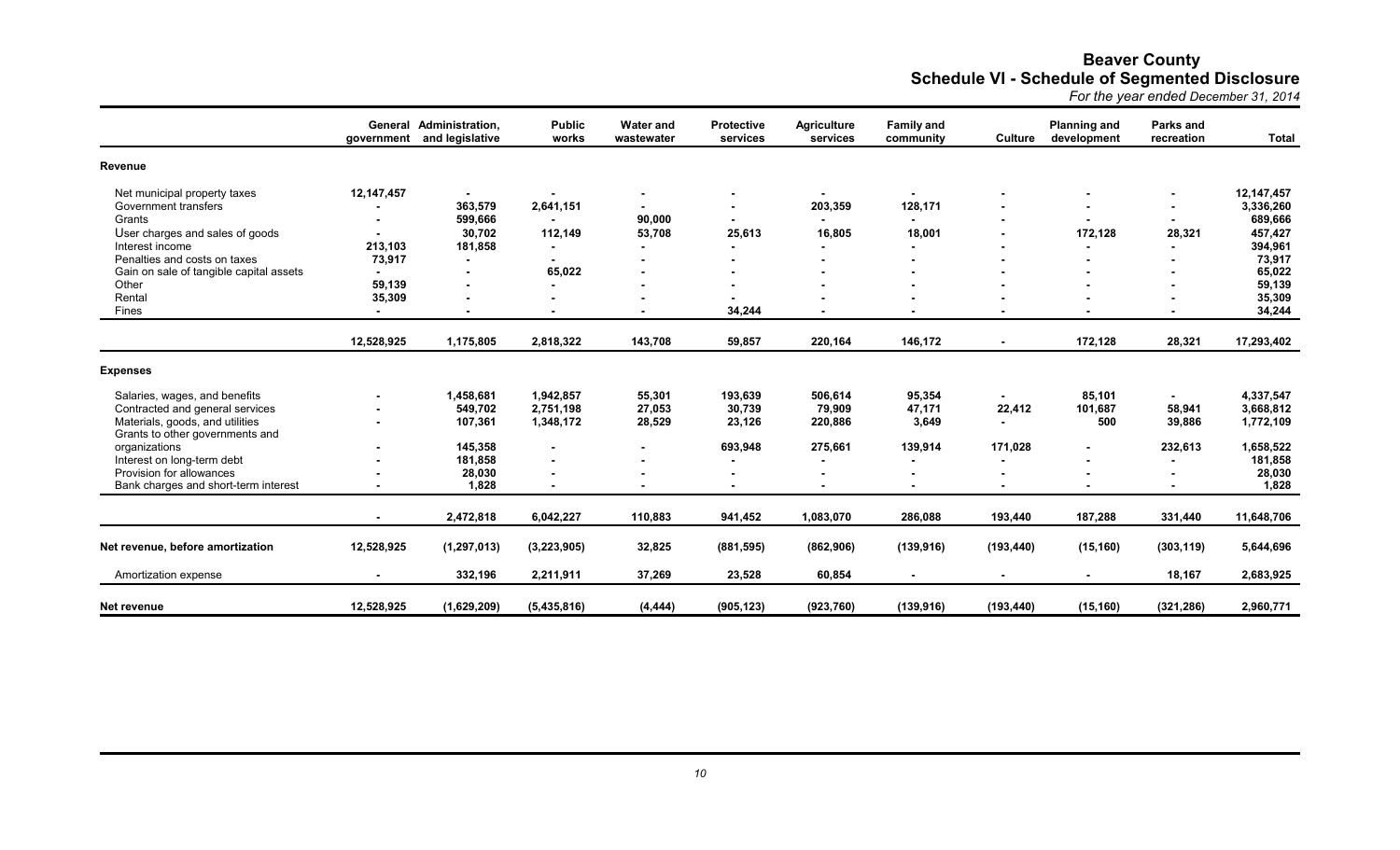**Beaver County Schedule VI - Schedule of Segmented Disclosure**

|  |  |  | For the year ended December 31, 2014 |  |  |
|--|--|--|--------------------------------------|--|--|
|--|--|--|--------------------------------------|--|--|

|                                                                                                                                                                                                                    | government                                                                              | General Administration,<br>and legislative | <b>Public</b><br>works                                                                   | <b>Water and</b><br>wastewater | Protective<br>services      | Agriculture<br>services      | <b>Family and</b><br>community                           | <b>Culture</b>                                                         | <b>Planning and</b><br>development | Parks and<br>recreation            | <b>Total</b>                                                                                     |
|--------------------------------------------------------------------------------------------------------------------------------------------------------------------------------------------------------------------|-----------------------------------------------------------------------------------------|--------------------------------------------|------------------------------------------------------------------------------------------|--------------------------------|-----------------------------|------------------------------|----------------------------------------------------------|------------------------------------------------------------------------|------------------------------------|------------------------------------|--------------------------------------------------------------------------------------------------|
| Revenue                                                                                                                                                                                                            |                                                                                         |                                            |                                                                                          |                                |                             |                              |                                                          |                                                                        |                                    |                                    |                                                                                                  |
| Net municipal property taxes<br>Government transfers<br>Grants<br>User charges and sales of goods<br>Interest income<br>Penalties and costs on taxes<br>Gain on sale of tangible capital assets<br>Other<br>Rental | 12,147,457<br>$\blacksquare$<br>213,103<br>73,917<br>$\blacksquare$<br>59,139<br>35,309 | 363,579<br>599,666<br>30.702<br>181,858    | $\overline{\phantom{a}}$<br>2,641,151<br>112,149<br>$\sim$<br>$\sim$<br>65.022<br>$\sim$ | ۰.<br>90,000<br>53,708<br>٠.   | $\blacksquare$<br>25,613    | 203,359<br>$\sim$<br>16,805  | $\blacksquare$<br>128,171<br>$\mathbf{r}$<br>18,001<br>۰ | $\blacksquare$<br>$\sim$<br>$\blacksquare$<br>$\overline{\phantom{a}}$ | 172,128                            | $\sim$<br>28,321<br>$\blacksquare$ | 12,147,457<br>3,336,260<br>689,666<br>457,427<br>394,961<br>73,917<br>65,022<br>59,139<br>35,309 |
| Fines                                                                                                                                                                                                              |                                                                                         |                                            | $\blacksquare$                                                                           |                                | 34,244                      |                              |                                                          |                                                                        |                                    |                                    | 34,244                                                                                           |
|                                                                                                                                                                                                                    | 12,528,925                                                                              | 1,175,805                                  | 2,818,322                                                                                | 143,708                        | 59,857                      | 220,164                      | 146,172                                                  | $\sim$                                                                 | 172,128                            | 28,321                             | 17,293,402                                                                                       |
| <b>Expenses</b>                                                                                                                                                                                                    |                                                                                         |                                            |                                                                                          |                                |                             |                              |                                                          |                                                                        |                                    |                                    |                                                                                                  |
| Salaries, wages, and benefits<br>Contracted and general services<br>Materials, goods, and utilities                                                                                                                | $\blacksquare$<br>٠                                                                     | 1,458,681<br>549,702<br>107,361            | 1,942,857<br>2,751,198<br>1,348,172                                                      | 55,301<br>27,053<br>28,529     | 193,639<br>30,739<br>23,126 | 506,614<br>79,909<br>220,886 | 95,354<br>47,171<br>3,649                                | $\sim$<br>22,412<br>$\sim$                                             | 85,101<br>101,687<br>500           | $\sim$<br>58,941<br>39,886         | 4,337,547<br>3,668,812<br>1,772,109                                                              |
| Grants to other governments and<br>organizations<br>Interest on long-term debt<br>Provision for allowances<br>Bank charges and short-term interest                                                                 | ٠                                                                                       | 145.358<br>181,858<br>28,030<br>1,828      | $\sim$<br>$\blacksquare$<br>$\sim$                                                       | ٠.                             | 693,948                     | 275,661                      | 139,914<br>۰<br>۰                                        | 171,028<br>$\sim$                                                      |                                    | 232,613                            | 1,658,522<br>181,858<br>28,030<br>1,828                                                          |
|                                                                                                                                                                                                                    | $\blacksquare$                                                                          | 2,472,818                                  | 6,042,227                                                                                | 110,883                        | 941,452                     | 1,083,070                    | 286,088                                                  | 193,440                                                                | 187,288                            | 331,440                            | 11,648,706                                                                                       |
| Net revenue, before amortization                                                                                                                                                                                   | 12,528,925                                                                              | (1, 297, 013)                              | (3,223,905)                                                                              | 32,825                         | (881, 595)                  | (862, 906)                   | (139, 916)                                               | (193, 440)                                                             | (15, 160)                          | (303, 119)                         | 5,644,696                                                                                        |
| Amortization expense                                                                                                                                                                                               |                                                                                         | 332,196                                    | 2,211,911                                                                                | 37,269                         | 23,528                      | 60,854                       | $\sim$                                                   |                                                                        |                                    | 18,167                             | 2,683,925                                                                                        |
| Net revenue                                                                                                                                                                                                        | 12,528,925                                                                              | (1,629,209)                                | (5,435,816)                                                                              | (4, 444)                       | (905, 123)                  | (923, 760)                   | (139, 916)                                               | (193, 440)                                                             | (15, 160)                          | (321, 286)                         | 2,960,771                                                                                        |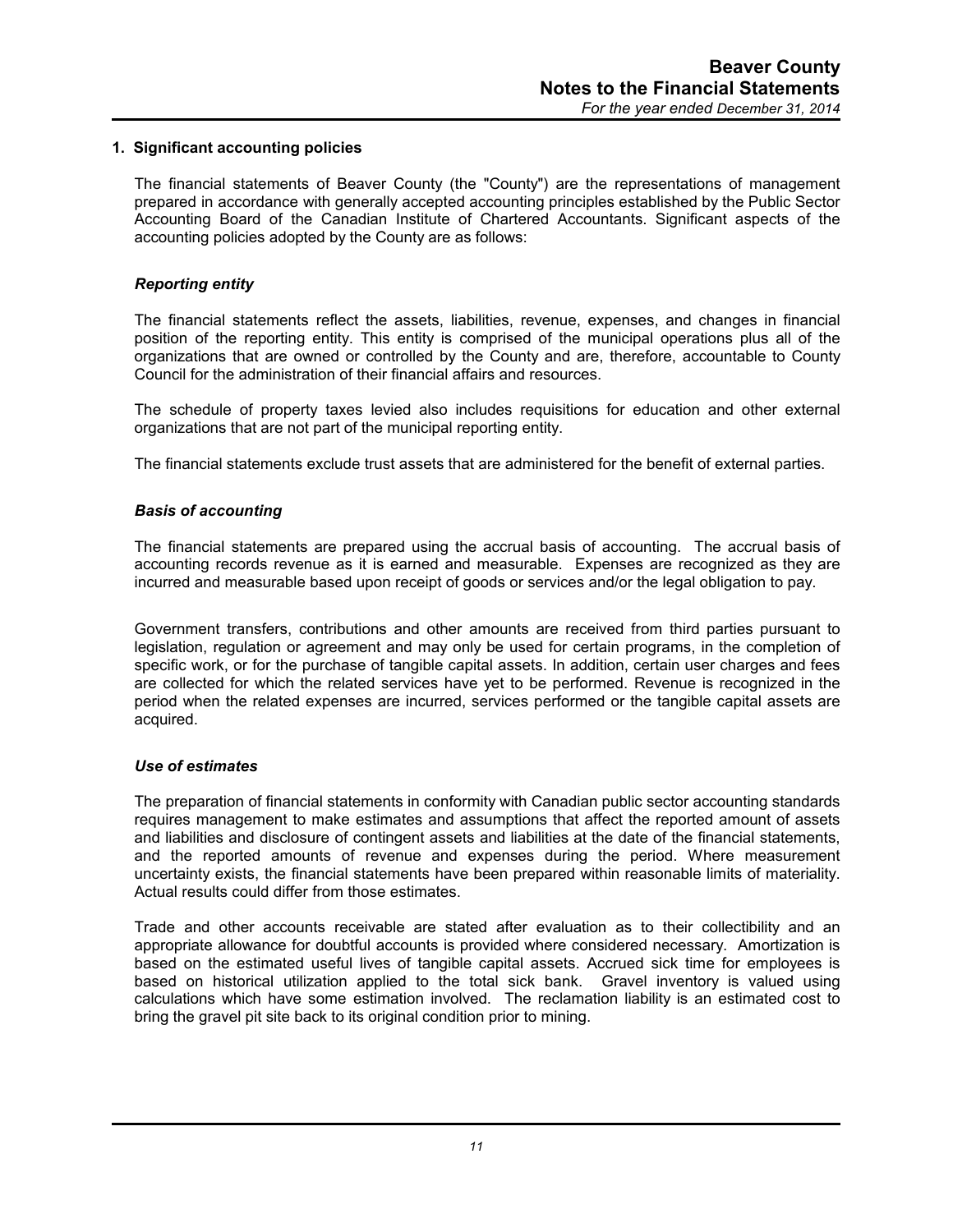## **1. Significant accounting policies**

The financial statements of Beaver County (the "County") are the representations of management prepared in accordance with generally accepted accounting principles established by the Public Sector Accounting Board of the Canadian Institute of Chartered Accountants. Significant aspects of the accounting policies adopted by the County are as follows:

### *Reporting entity*

The financial statements reflect the assets, liabilities, revenue, expenses, and changes in financial position of the reporting entity. This entity is comprised of the municipal operations plus all of the organizations that are owned or controlled by the County and are, therefore, accountable to County Council for the administration of their financial affairs and resources.

The schedule of property taxes levied also includes requisitions for education and other external organizations that are not part of the municipal reporting entity.

The financial statements exclude trust assets that are administered for the benefit of external parties.

#### *Basis of accounting*

The financial statements are prepared using the accrual basis of accounting. The accrual basis of accounting records revenue as it is earned and measurable. Expenses are recognized as they are incurred and measurable based upon receipt of goods or services and/or the legal obligation to pay.

Government transfers, contributions and other amounts are received from third parties pursuant to legislation, regulation or agreement and may only be used for certain programs, in the completion of specific work, or for the purchase of tangible capital assets. In addition, certain user charges and fees are collected for which the related services have yet to be performed. Revenue is recognized in the period when the related expenses are incurred, services performed or the tangible capital assets are acquired.

#### *Use of estimates*

The preparation of financial statements in conformity with Canadian public sector accounting standards requires management to make estimates and assumptions that affect the reported amount of assets and liabilities and disclosure of contingent assets and liabilities at the date of the financial statements, and the reported amounts of revenue and expenses during the period. Where measurement uncertainty exists, the financial statements have been prepared within reasonable limits of materiality. Actual results could differ from those estimates.

Trade and other accounts receivable are stated after evaluation as to their collectibility and an appropriate allowance for doubtful accounts is provided where considered necessary. Amortization is based on the estimated useful lives of tangible capital assets. Accrued sick time for employees is based on historical utilization applied to the total sick bank. Gravel inventory is valued using calculations which have some estimation involved. The reclamation liability is an estimated cost to bring the gravel pit site back to its original condition prior to mining.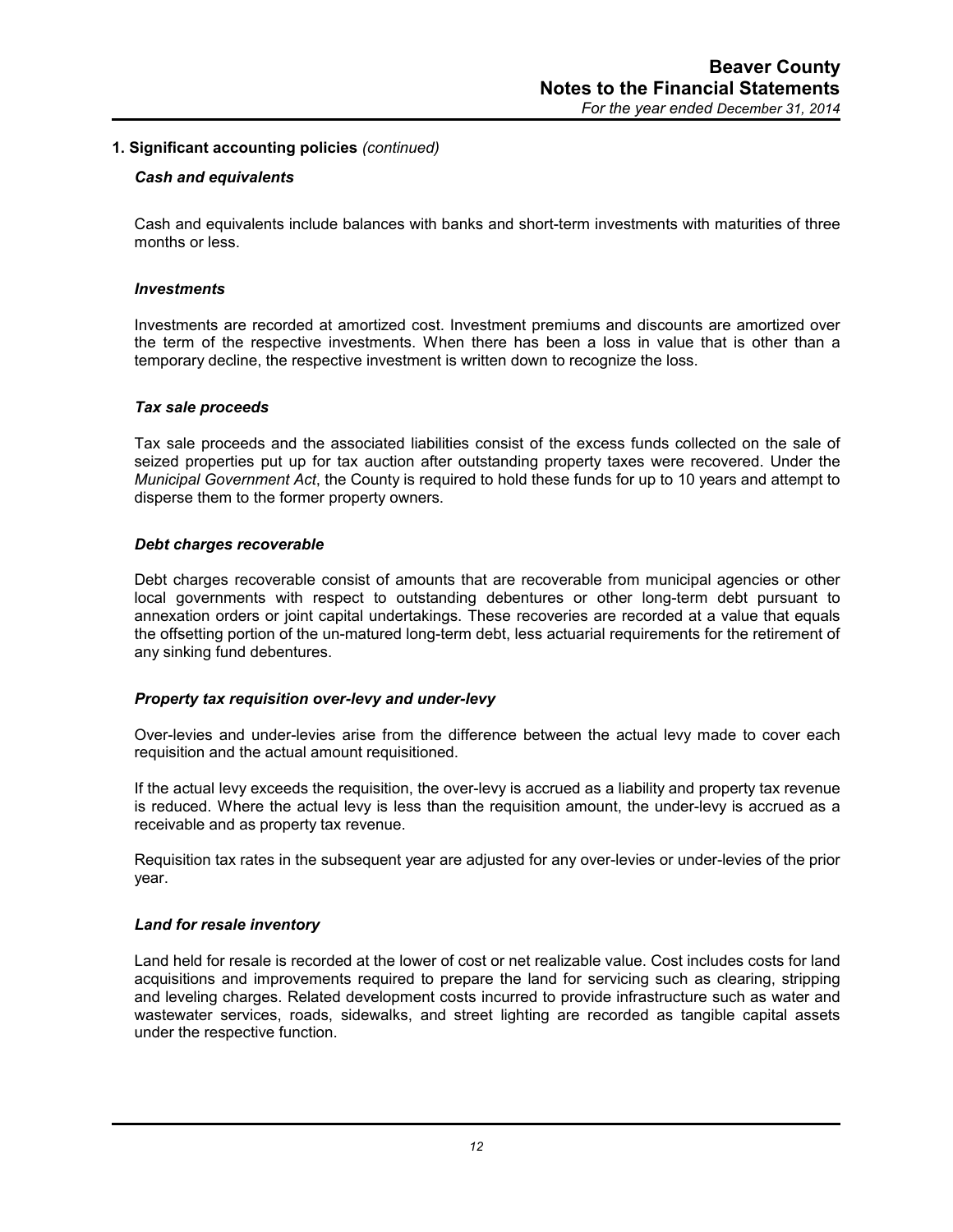#### *Cash and equivalents*

Cash and equivalents include balances with banks and short-term investments with maturities of three months or less.

#### *Investments*

Investments are recorded at amortized cost. Investment premiums and discounts are amortized over the term of the respective investments. When there has been a loss in value that is other than a temporary decline, the respective investment is written down to recognize the loss.

#### *Tax sale proceeds*

Tax sale proceeds and the associated liabilities consist of the excess funds collected on the sale of seized properties put up for tax auction after outstanding property taxes were recovered. Under the *Municipal Government Act*, the County is required to hold these funds for up to 10 years and attempt to disperse them to the former property owners.

#### *Debt charges recoverable*

Debt charges recoverable consist of amounts that are recoverable from municipal agencies or other local governments with respect to outstanding debentures or other long-term debt pursuant to annexation orders or joint capital undertakings. These recoveries are recorded at a value that equals the offsetting portion of the un-matured long-term debt, less actuarial requirements for the retirement of any sinking fund debentures.

## *Property tax requisition over-levy and under-levy*

Over-levies and under-levies arise from the difference between the actual levy made to cover each requisition and the actual amount requisitioned.

If the actual levy exceeds the requisition, the over-levy is accrued as a liability and property tax revenue is reduced. Where the actual levy is less than the requisition amount, the under-levy is accrued as a receivable and as property tax revenue.

Requisition tax rates in the subsequent year are adjusted for any over-levies or under-levies of the prior year.

#### *Land for resale inventory*

Land held for resale is recorded at the lower of cost or net realizable value. Cost includes costs for land acquisitions and improvements required to prepare the land for servicing such as clearing, stripping and leveling charges. Related development costs incurred to provide infrastructure such as water and wastewater services, roads, sidewalks, and street lighting are recorded as tangible capital assets under the respective function.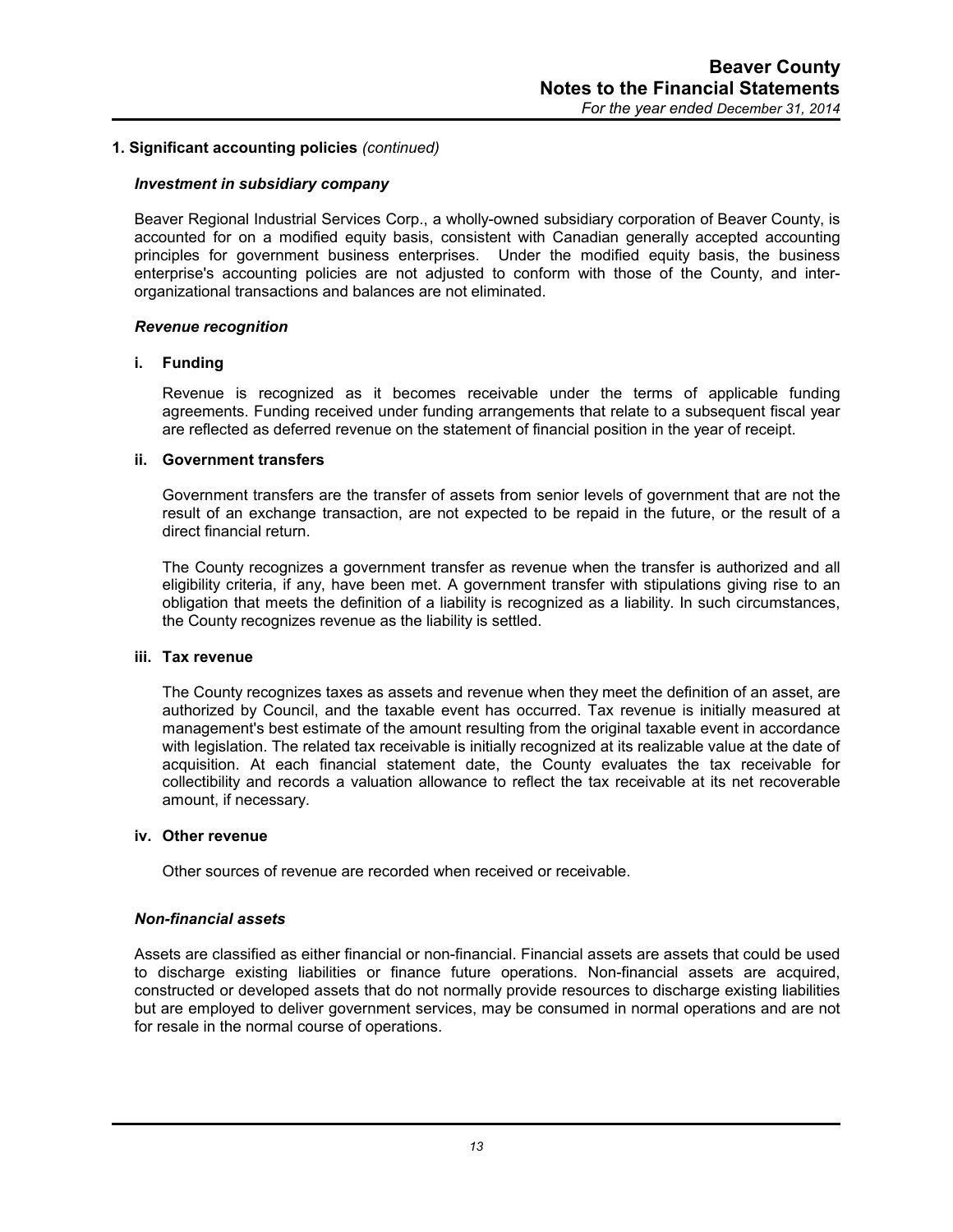## *Investment in subsidiary company*

Beaver Regional Industrial Services Corp., a wholly-owned subsidiary corporation of Beaver County, is accounted for on a modified equity basis, consistent with Canadian generally accepted accounting principles for government business enterprises. Under the modified equity basis, the business enterprise's accounting policies are not adjusted to conform with those of the County, and interorganizational transactions and balances are not eliminated.

## *Revenue recognition*

## **i. Funding**

Revenue is recognized as it becomes receivable under the terms of applicable funding agreements. Funding received under funding arrangements that relate to a subsequent fiscal year are reflected as deferred revenue on the statement of financial position in the year of receipt.

## **ii. Government transfers**

Government transfers are the transfer of assets from senior levels of government that are not the result of an exchange transaction, are not expected to be repaid in the future, or the result of a direct financial return.

The County recognizes a government transfer as revenue when the transfer is authorized and all eligibility criteria, if any, have been met. A government transfer with stipulations giving rise to an obligation that meets the definition of a liability is recognized as a liability. In such circumstances, the County recognizes revenue as the liability is settled.

## **iii. Tax revenue**

The County recognizes taxes as assets and revenue when they meet the definition of an asset, are authorized by Council, and the taxable event has occurred. Tax revenue is initially measured at management's best estimate of the amount resulting from the original taxable event in accordance with legislation. The related tax receivable is initially recognized at its realizable value at the date of acquisition. At each financial statement date, the County evaluates the tax receivable for collectibility and records a valuation allowance to reflect the tax receivable at its net recoverable amount, if necessary.

## **iv. Other revenue**

Other sources of revenue are recorded when received or receivable.

## *Non-financial assets*

Assets are classified as either financial or non-financial. Financial assets are assets that could be used to discharge existing liabilities or finance future operations. Non-financial assets are acquired, constructed or developed assets that do not normally provide resources to discharge existing liabilities but are employed to deliver government services, may be consumed in normal operations and are not for resale in the normal course of operations.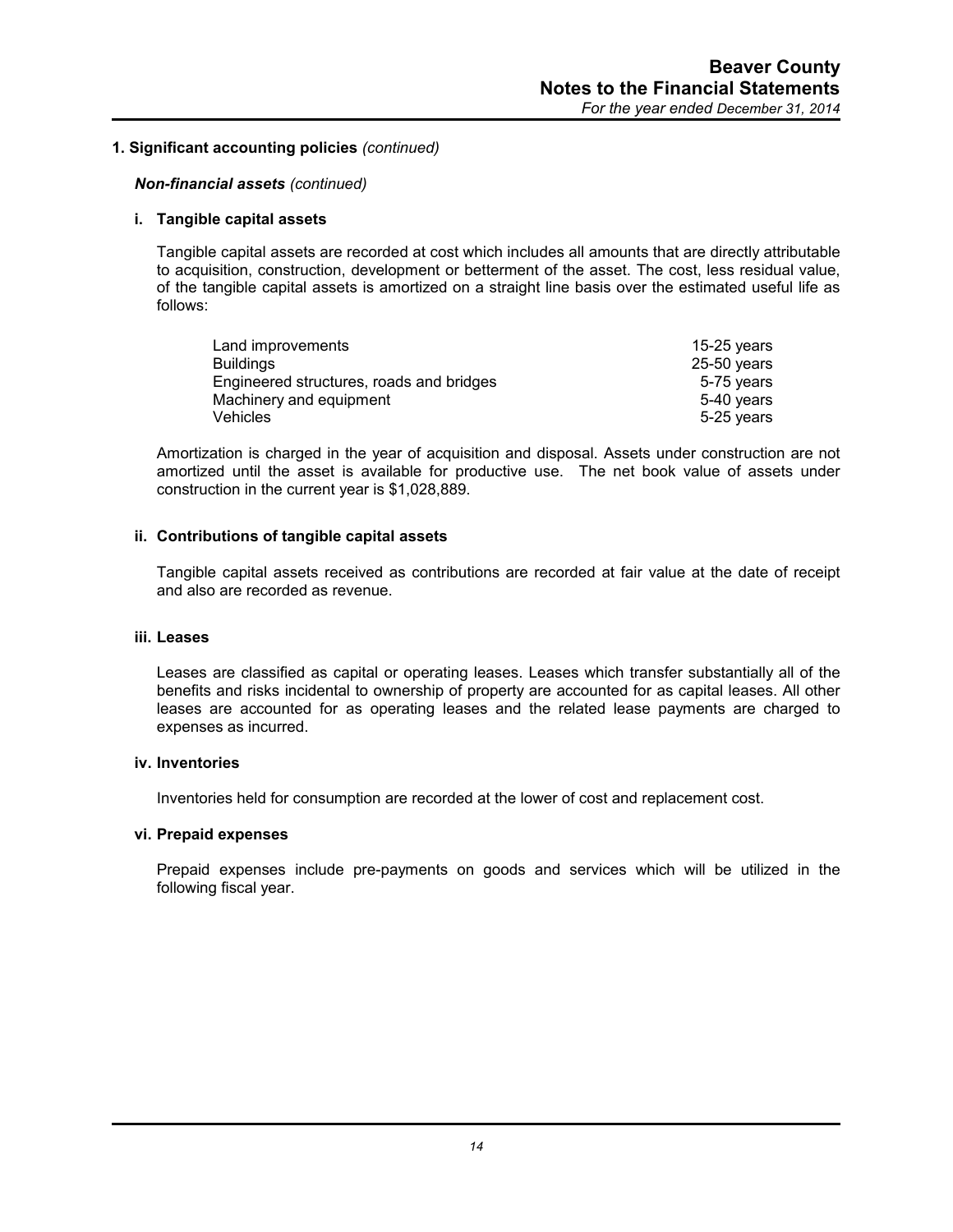#### *Non-financial assets (continued)*

### **i. Tangible capital assets**

Tangible capital assets are recorded at cost which includes all amounts that are directly attributable to acquisition, construction, development or betterment of the asset. The cost, less residual value, of the tangible capital assets is amortized on a straight line basis over the estimated useful life as follows:

| Land improvements                        | 15-25 $vears$ |
|------------------------------------------|---------------|
| <b>Buildings</b>                         | 25-50 years   |
| Engineered structures, roads and bridges | 5-75 years    |
| Machinery and equipment                  | 5-40 years    |
| <b>Vehicles</b>                          | 5-25 years    |

Amortization is charged in the year of acquisition and disposal. Assets under construction are not amortized until the asset is available for productive use. The net book value of assets under construction in the current year is \$1,028,889.

## **ii. Contributions of tangible capital assets**

Tangible capital assets received as contributions are recorded at fair value at the date of receipt and also are recorded as revenue.

#### **iii. Leases**

Leases are classified as capital or operating leases. Leases which transfer substantially all of the benefits and risks incidental to ownership of property are accounted for as capital leases. All other leases are accounted for as operating leases and the related lease payments are charged to expenses as incurred.

## **iv. Inventories**

Inventories held for consumption are recorded at the lower of cost and replacement cost.

#### **vi. Prepaid expenses**

Prepaid expenses include pre-payments on goods and services which will be utilized in the following fiscal year.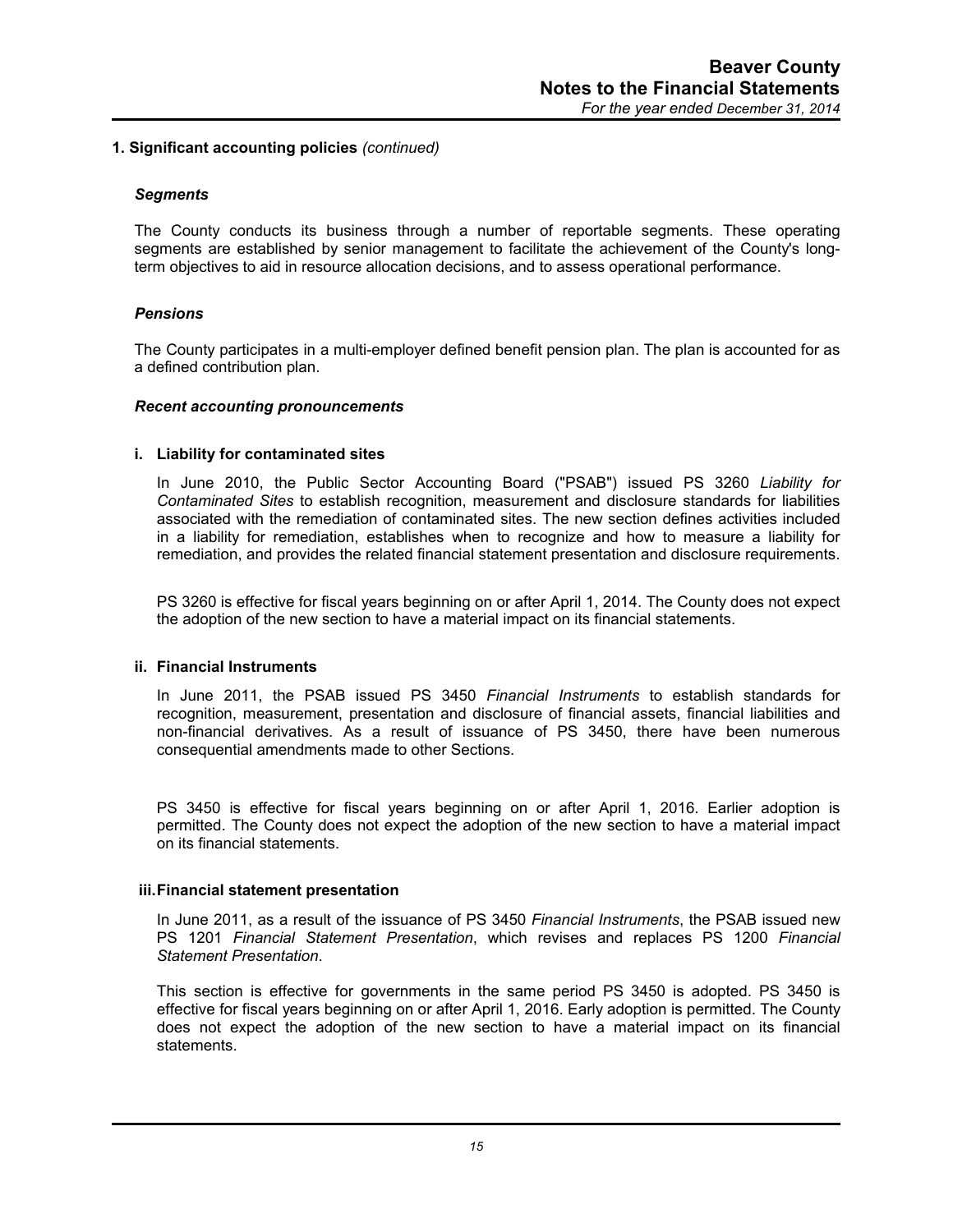### *Segments*

The County conducts its business through a number of reportable segments. These operating segments are established by senior management to facilitate the achievement of the County's longterm objectives to aid in resource allocation decisions, and to assess operational performance.

#### *Pensions*

The County participates in a multi-employer defined benefit pension plan. The plan is accounted for as a defined contribution plan.

#### *Recent accounting pronouncements*

#### **i. Liability for contaminated sites**

In June 2010, the Public Sector Accounting Board ("PSAB") issued PS 3260 *Liability for Contaminated Sites* to establish recognition, measurement and disclosure standards for liabilities associated with the remediation of contaminated sites. The new section defines activities included in a liability for remediation, establishes when to recognize and how to measure a liability for remediation, and provides the related financial statement presentation and disclosure requirements.

PS 3260 is effective for fiscal years beginning on or after April 1, 2014. The County does not expect the adoption of the new section to have a material impact on its financial statements.

#### **ii. Financial Instruments**

In June 2011, the PSAB issued PS 3450 *Financial Instruments* to establish standards for recognition, measurement, presentation and disclosure of financial assets, financial liabilities and non-financial derivatives. As a result of issuance of PS 3450, there have been numerous consequential amendments made to other Sections.

PS 3450 is effective for fiscal years beginning on or after April 1, 2016. Earlier adoption is permitted. The County does not expect the adoption of the new section to have a material impact on its financial statements.

#### **iii.Financial statement presentation**

In June 2011, as a result of the issuance of PS 3450 *Financial Instruments*, the PSAB issued new PS 1201 *Financial Statement Presentation*, which revises and replaces PS 1200 *Financial Statement Presentation*.

This section is effective for governments in the same period PS 3450 is adopted. PS 3450 is effective for fiscal years beginning on or after April 1, 2016. Early adoption is permitted. The County does not expect the adoption of the new section to have a material impact on its financial statements.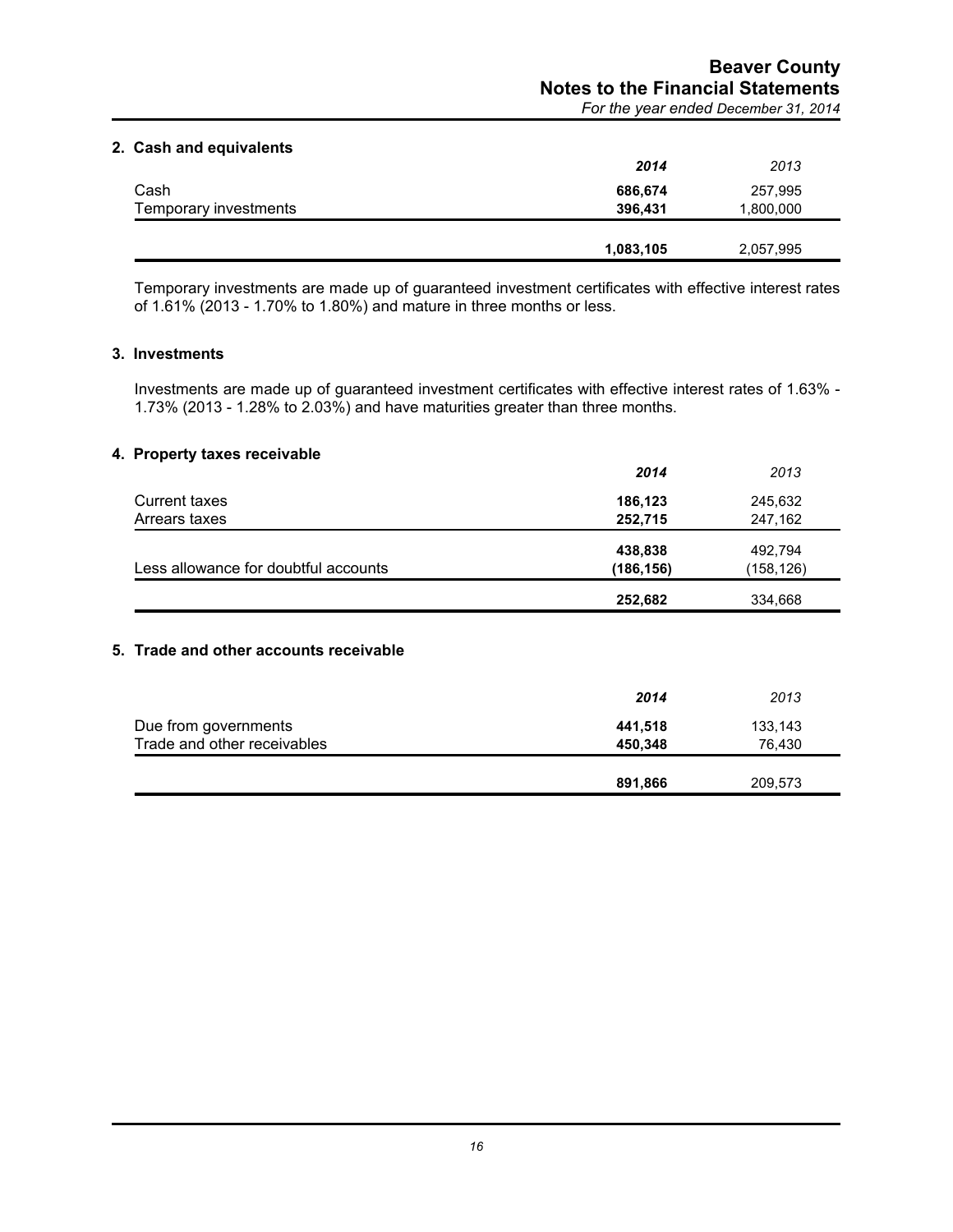*For the year ended December 31, 2014*

## **2. Cash and equivalents**

|                       | 2014      | 2013      |
|-----------------------|-----------|-----------|
| Cash                  | 686,674   | 257,995   |
| Temporary investments | 396,431   | 1,800,000 |
|                       |           |           |
|                       | 1,083,105 | 2,057,995 |

Temporary investments are made up of guaranteed investment certificates with effective interest rates of 1.61% (2013 - 1.70% to 1.80%) and mature in three months or less.

## **3. Investments**

Investments are made up of guaranteed investment certificates with effective interest rates of 1.63% - 1.73% (2013 - 1.28% to 2.03%) and have maturities greater than three months.

## **4. Property taxes receivable**

|                                      | 2014       | 2013      |
|--------------------------------------|------------|-----------|
| Current taxes                        | 186,123    | 245,632   |
| Arrears taxes                        | 252,715    | 247,162   |
|                                      | 438,838    | 492,794   |
| Less allowance for doubtful accounts | (186, 156) | (158,126) |
|                                      | 252,682    | 334,668   |

|                             | 2014    | 2013    |
|-----------------------------|---------|---------|
| Due from governments        | 441,518 | 133,143 |
| Trade and other receivables | 450.348 | 76.430  |
|                             |         |         |
|                             | 891.866 | 209,573 |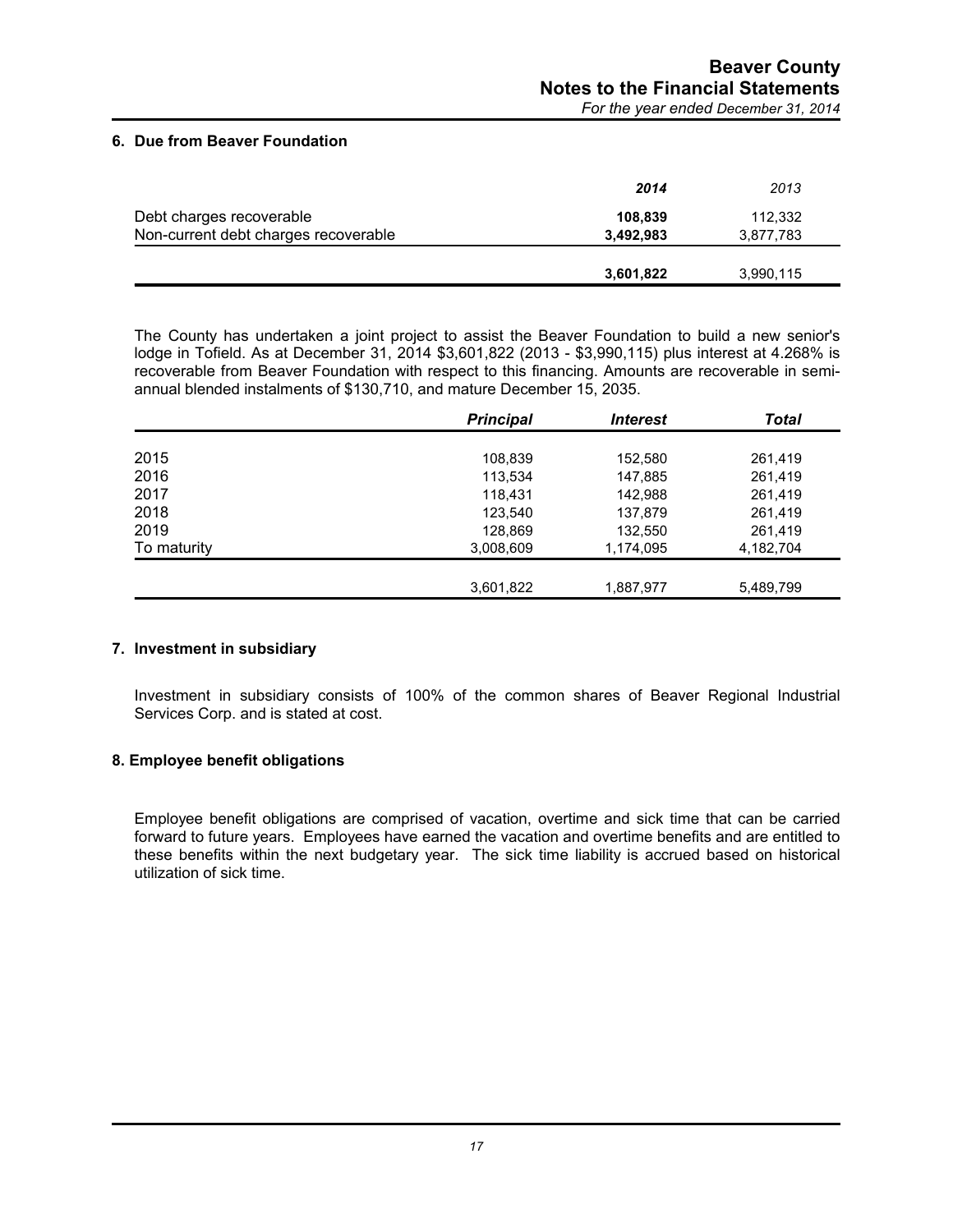#### **6. Due from Beaver Foundation**

|                                      | 2014      | 2013      |
|--------------------------------------|-----------|-----------|
| Debt charges recoverable             | 108,839   | 112,332   |
| Non-current debt charges recoverable | 3,492,983 | 3,877,783 |
|                                      |           |           |
|                                      | 3,601,822 | 3,990,115 |

The County has undertaken a joint project to assist the Beaver Foundation to build a new senior's lodge in Tofield. As at December 31, 2014 \$3,601,822 (2013 - \$3,990,115) plus interest at 4.268% is recoverable from Beaver Foundation with respect to this financing. Amounts are recoverable in semiannual blended instalments of \$130,710, and mature December 15, 2035.

|             | <b>Principal</b> | <i><b>Interest</b></i> | Total     |
|-------------|------------------|------------------------|-----------|
| 2015        | 108,839          | 152,580                | 261,419   |
| 2016        | 113,534          | 147,885                | 261,419   |
| 2017        | 118,431          | 142,988                | 261,419   |
| 2018        | 123,540          | 137,879                | 261,419   |
| 2019        | 128,869          | 132,550                | 261,419   |
| To maturity | 3,008,609        | 1,174,095              | 4,182,704 |
|             | 3,601,822        | 1,887,977              | 5,489,799 |

## **7. Investment in subsidiary**

Investment in subsidiary consists of 100% of the common shares of Beaver Regional Industrial Services Corp. and is stated at cost.

## **8. Employee benefit obligations**

Employee benefit obligations are comprised of vacation, overtime and sick time that can be carried forward to future years. Employees have earned the vacation and overtime benefits and are entitled to these benefits within the next budgetary year. The sick time liability is accrued based on historical utilization of sick time.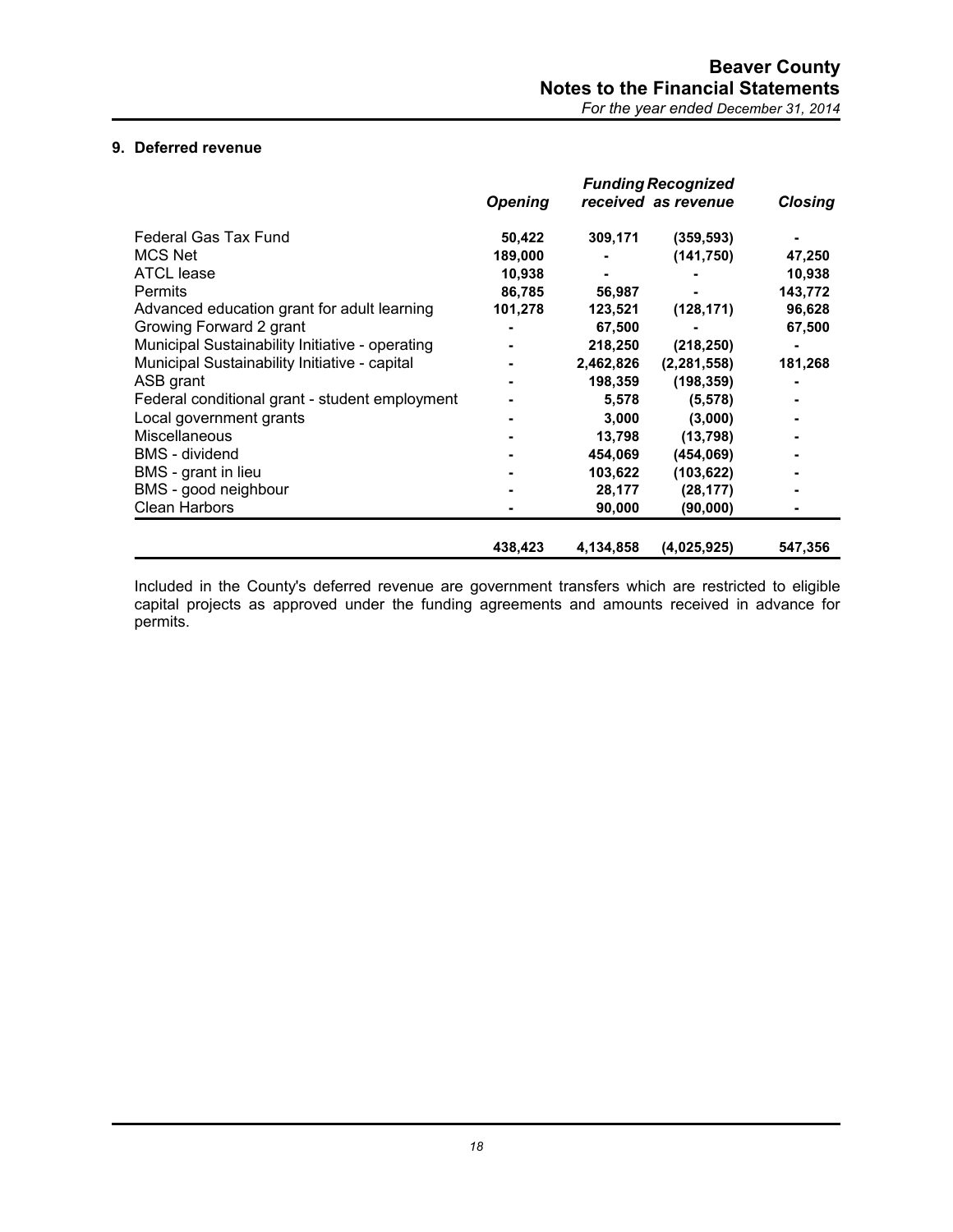## **9. Deferred revenue**

|                                                 | <b>Funding Recognized</b> |           |                     |         |  |
|-------------------------------------------------|---------------------------|-----------|---------------------|---------|--|
|                                                 | <b>Opening</b>            |           | received as revenue | Closing |  |
| Federal Gas Tax Fund                            | 50,422                    | 309,171   | (359, 593)          |         |  |
| <b>MCS Net</b>                                  | 189,000                   |           | (141, 750)          | 47,250  |  |
| <b>ATCL lease</b>                               | 10,938                    |           |                     | 10,938  |  |
| Permits                                         | 86,785                    | 56,987    |                     | 143,772 |  |
| Advanced education grant for adult learning     | 101,278                   | 123,521   | (128, 171)          | 96,628  |  |
| Growing Forward 2 grant                         |                           | 67,500    |                     | 67,500  |  |
| Municipal Sustainability Initiative - operating |                           | 218,250   | (218, 250)          |         |  |
| Municipal Sustainability Initiative - capital   |                           | 2,462,826 | (2, 281, 558)       | 181,268 |  |
| ASB grant                                       |                           | 198,359   | (198, 359)          |         |  |
| Federal conditional grant - student employment  |                           | 5,578     | (5, 578)            |         |  |
| Local government grants                         |                           | 3,000     | (3,000)             |         |  |
| Miscellaneous                                   |                           | 13,798    | (13, 798)           |         |  |
| <b>BMS</b> - dividend                           |                           | 454,069   | (454, 069)          |         |  |
| BMS - grant in lieu                             |                           | 103,622   | (103,622)           |         |  |
| BMS - good neighbour                            |                           | 28,177    | (28, 177)           |         |  |
| <b>Clean Harbors</b>                            |                           | 90,000    | (90,000)            |         |  |
|                                                 | 438,423                   | 4,134,858 | (4,025,925)         | 547,356 |  |

Included in the County's deferred revenue are government transfers which are restricted to eligible capital projects as approved under the funding agreements and amounts received in advance for permits.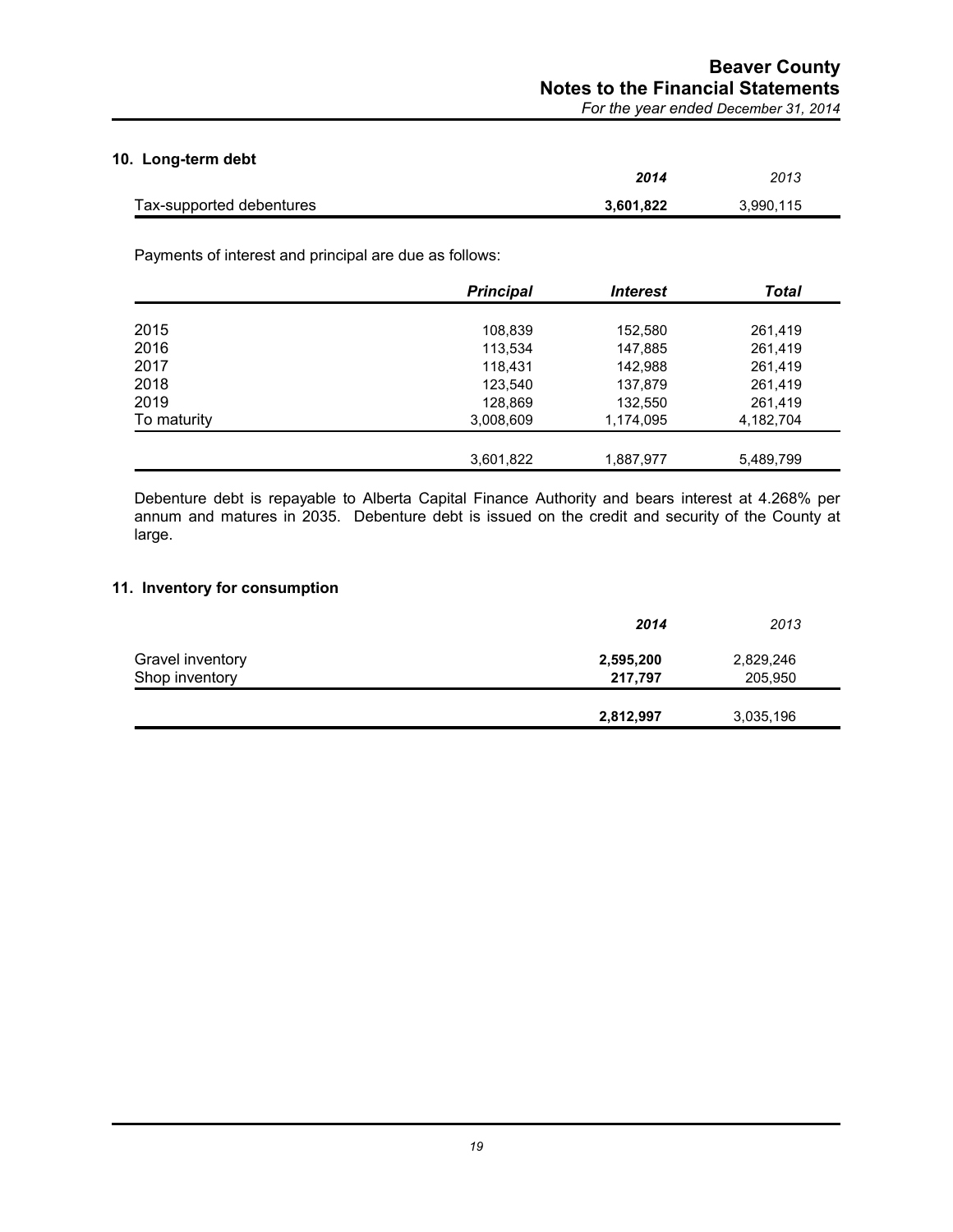## **10. Long-term debt**

| --                       | 2014      | 2013      |
|--------------------------|-----------|-----------|
| Tax-supported debentures | 3,601,822 | 3.990.115 |

Payments of interest and principal are due as follows:

|             | <b>Principal</b> | <i><b>Interest</b></i> | Total     |
|-------------|------------------|------------------------|-----------|
|             |                  |                        |           |
| 2015        | 108,839          | 152,580                | 261,419   |
| 2016        | 113,534          | 147,885                | 261,419   |
| 2017        | 118,431          | 142,988                | 261,419   |
| 2018        | 123,540          | 137,879                | 261,419   |
| 2019        | 128,869          | 132,550                | 261,419   |
| To maturity | 3,008,609        | 1,174,095              | 4,182,704 |
|             |                  |                        |           |
|             | 3,601,822        | 1,887,977              | 5,489,799 |

Debenture debt is repayable to Alberta Capital Finance Authority and bears interest at 4.268% per annum and matures in 2035. Debenture debt is issued on the credit and security of the County at large.

## **11. Inventory for consumption**

|                                    | 2014                 | 2013                 |
|------------------------------------|----------------------|----------------------|
| Gravel inventory<br>Shop inventory | 2,595,200<br>217,797 | 2,829,246<br>205,950 |
|                                    | 2,812,997            | 3,035,196            |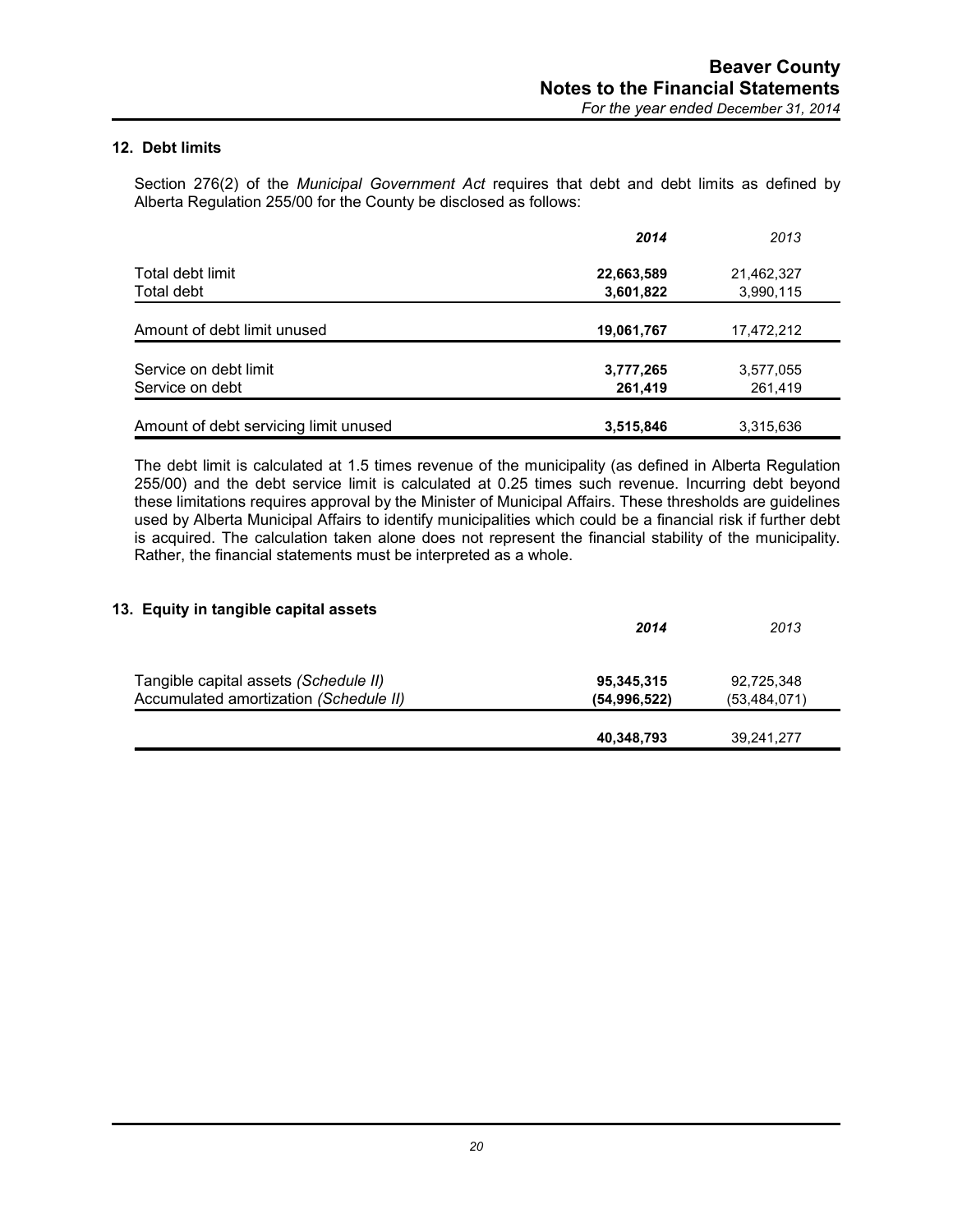## **12. Debt limits**

Section 276(2) of the *Municipal Government Act* requires that debt and debt limits as defined by Alberta Regulation 255/00 for the County be disclosed as follows:

|                                       | 2014       | 2013       |
|---------------------------------------|------------|------------|
| Total debt limit                      | 22,663,589 | 21,462,327 |
| Total debt                            | 3,601,822  | 3,990,115  |
| Amount of debt limit unused           | 19,061,767 | 17,472,212 |
| Service on debt limit                 | 3,777,265  | 3,577,055  |
| Service on debt                       | 261,419    | 261,419    |
| Amount of debt servicing limit unused | 3,515,846  | 3,315,636  |

The debt limit is calculated at 1.5 times revenue of the municipality (as defined in Alberta Regulation 255/00) and the debt service limit is calculated at 0.25 times such revenue. Incurring debt beyond these limitations requires approval by the Minister of Municipal Affairs. These thresholds are guidelines used by Alberta Municipal Affairs to identify municipalities which could be a financial risk if further debt is acquired. The calculation taken alone does not represent the financial stability of the municipality. Rather, the financial statements must be interpreted as a whole.

| 13. Equity in tangible capital assets                                           | 2014                         | 2013                         |
|---------------------------------------------------------------------------------|------------------------------|------------------------------|
| Tangible capital assets (Schedule II)<br>Accumulated amortization (Schedule II) | 95,345,315<br>(54, 996, 522) | 92,725,348<br>(53, 484, 071) |
|                                                                                 | 40,348,793                   | 39,241,277                   |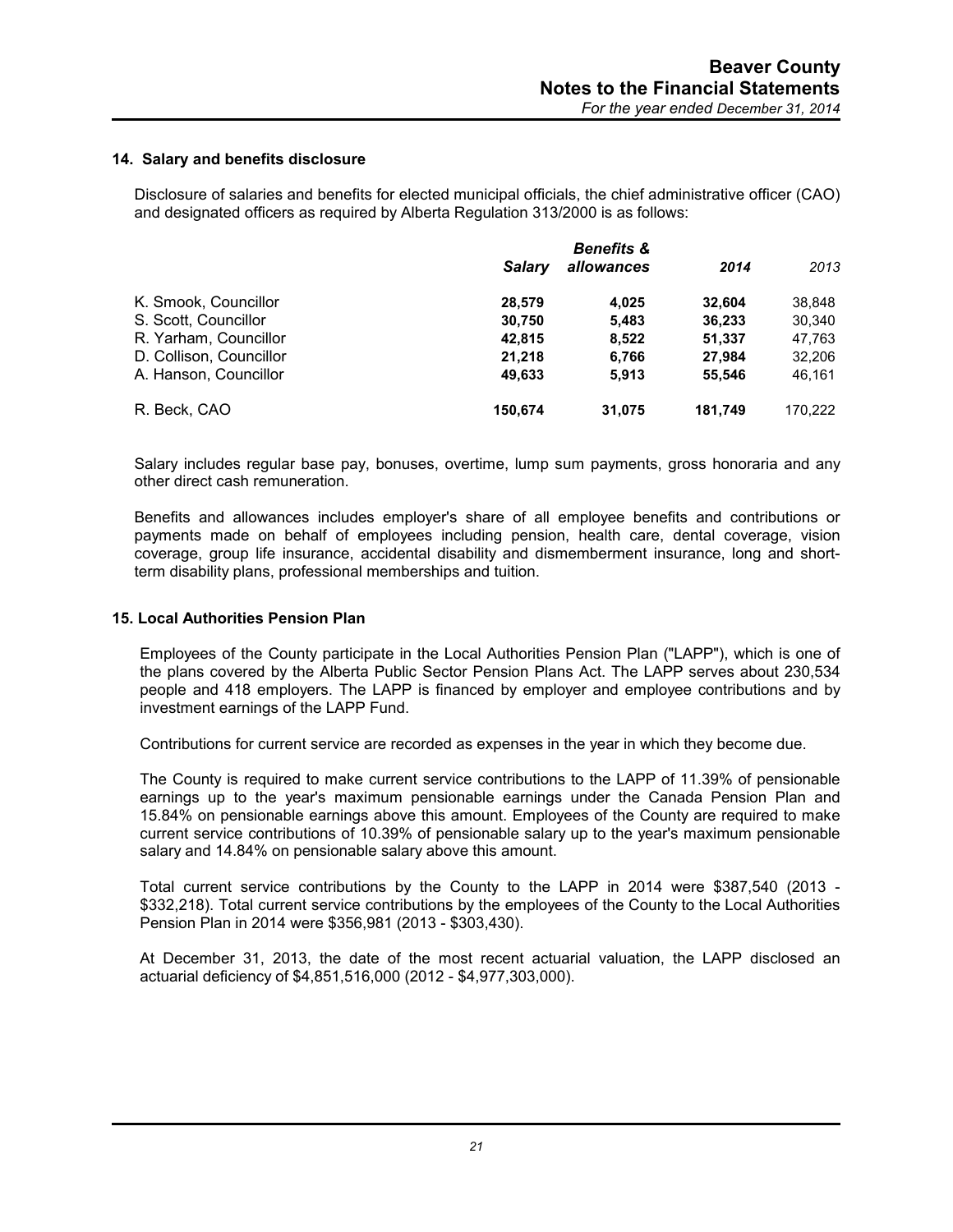## **14. Salary and benefits disclosure**

Disclosure of salaries and benefits for elected municipal officials, the chief administrative officer (CAO) and designated officers as required by Alberta Regulation 313/2000 is as follows:

|                         |               | <b>Benefits &amp;</b> |         |         |
|-------------------------|---------------|-----------------------|---------|---------|
|                         | <b>Salary</b> | allowances            | 2014    | 2013    |
| K. Smook, Councillor    | 28.579        | 4.025                 | 32.604  | 38,848  |
| S. Scott, Councillor    | 30,750        | 5,483                 | 36,233  | 30,340  |
| R. Yarham, Councillor   | 42.815        | 8,522                 | 51,337  | 47,763  |
| D. Collison, Councillor | 21.218        | 6,766                 | 27,984  | 32,206  |
| A. Hanson, Councillor   | 49.633        | 5.913                 | 55,546  | 46,161  |
| R. Beck, CAO            | 150,674       | 31.075                | 181,749 | 170.222 |

Salary includes regular base pay, bonuses, overtime, lump sum payments, gross honoraria and any other direct cash remuneration.

Benefits and allowances includes employer's share of all employee benefits and contributions or payments made on behalf of employees including pension, health care, dental coverage, vision coverage, group life insurance, accidental disability and dismemberment insurance, long and shortterm disability plans, professional memberships and tuition.

### **15. Local Authorities Pension Plan**

Employees of the County participate in the Local Authorities Pension Plan ("LAPP"), which is one of the plans covered by the Alberta Public Sector Pension Plans Act. The LAPP serves about 230,534 people and 418 employers. The LAPP is financed by employer and employee contributions and by investment earnings of the LAPP Fund.

Contributions for current service are recorded as expenses in the year in which they become due.

The County is required to make current service contributions to the LAPP of 11.39% of pensionable earnings up to the year's maximum pensionable earnings under the Canada Pension Plan and 15.84% on pensionable earnings above this amount. Employees of the County are required to make current service contributions of 10.39% of pensionable salary up to the year's maximum pensionable salary and 14.84% on pensionable salary above this amount.

Total current service contributions by the County to the LAPP in 2014 were \$387,540 (2013 - \$332,218). Total current service contributions by the employees of the County to the Local Authorities Pension Plan in 2014 were \$356,981 (2013 - \$303,430).

At December 31, 2013, the date of the most recent actuarial valuation, the LAPP disclosed an actuarial deficiency of \$4,851,516,000 (2012 - \$4,977,303,000).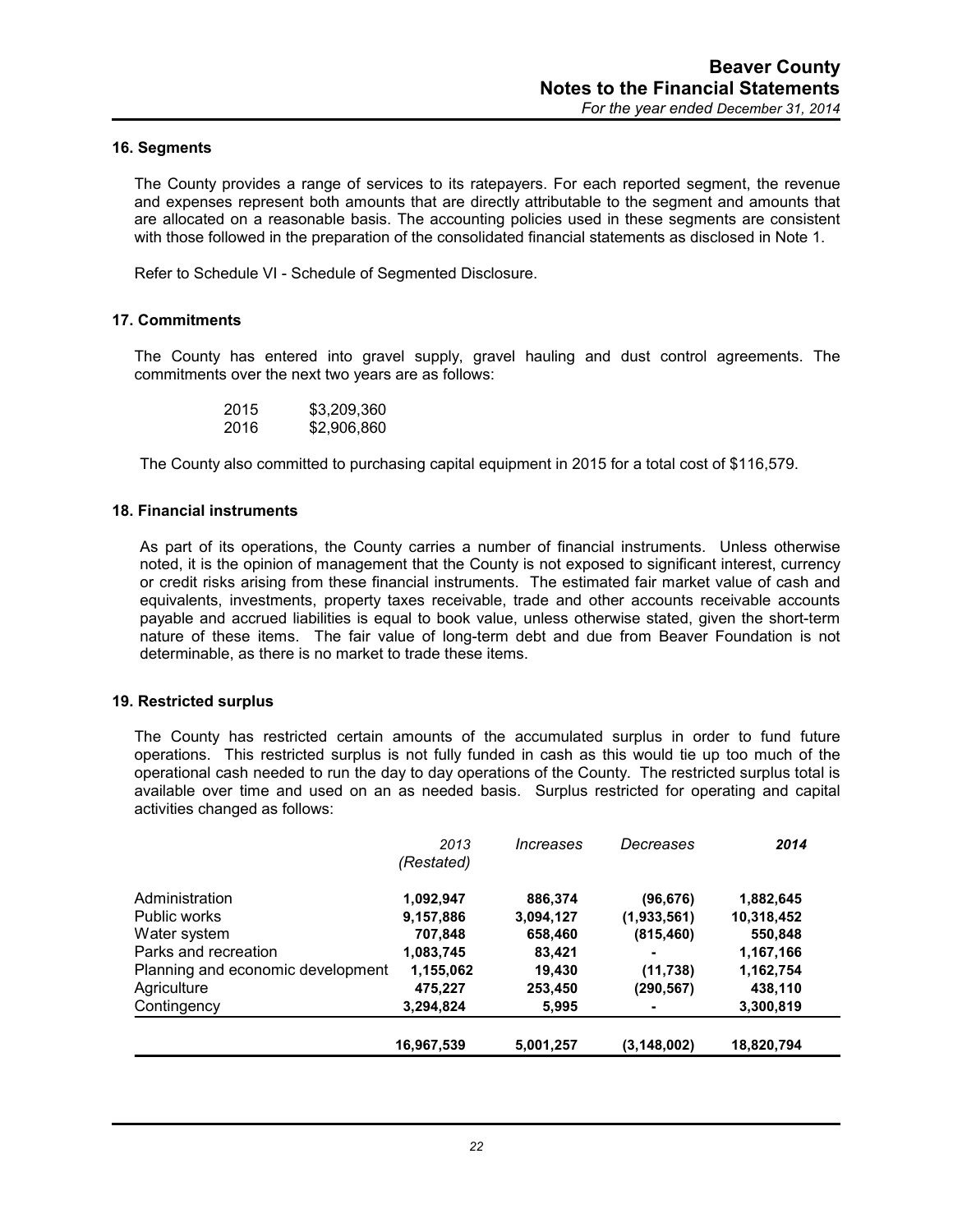### **16. Segments**

The County provides a range of services to its ratepayers. For each reported segment, the revenue and expenses represent both amounts that are directly attributable to the segment and amounts that are allocated on a reasonable basis. The accounting policies used in these segments are consistent with those followed in the preparation of the consolidated financial statements as disclosed in Note 1.

Refer to Schedule VI - Schedule of Segmented Disclosure.

## **17. Commitments**

The County has entered into gravel supply, gravel hauling and dust control agreements. The commitments over the next two years are as follows:

| 2015 | \$3,209,360 |
|------|-------------|
| 2016 | \$2,906,860 |

The County also committed to purchasing capital equipment in 2015 for a total cost of \$116,579.

#### **18. Financial instruments**

As part of its operations, the County carries a number of financial instruments. Unless otherwise noted, it is the opinion of management that the County is not exposed to significant interest, currency or credit risks arising from these financial instruments. The estimated fair market value of cash and equivalents, investments, property taxes receivable, trade and other accounts receivable accounts payable and accrued liabilities is equal to book value, unless otherwise stated, given the short-term nature of these items. The fair value of long-term debt and due from Beaver Foundation is not determinable, as there is no market to trade these items.

## **19. Restricted surplus**

The County has restricted certain amounts of the accumulated surplus in order to fund future operations. This restricted surplus is not fully funded in cash as this would tie up too much of the operational cash needed to run the day to day operations of the County. The restricted surplus total is available over time and used on an as needed basis. Surplus restricted for operating and capital activities changed as follows:

|                                   | 2013<br>(Restated) | Increases | Decreases     | 2014       |
|-----------------------------------|--------------------|-----------|---------------|------------|
| Administration                    | 1,092,947          | 886,374   | (96,676)      | 1,882,645  |
| Public works                      | 9,157,886          | 3,094,127 | (1,933,561)   | 10,318,452 |
| Water system                      | 707,848            | 658,460   | (815, 460)    | 550,848    |
| Parks and recreation              | 1,083,745          | 83,421    |               | 1,167,166  |
| Planning and economic development | 1,155,062          | 19,430    | (11, 738)     | 1,162,754  |
| Agriculture                       | 475,227            | 253,450   | (290, 567)    | 438,110    |
| Contingency                       | 3,294,824          | 5,995     |               | 3,300,819  |
|                                   | 16,967,539         | 5,001,257 | (3, 148, 002) | 18,820,794 |